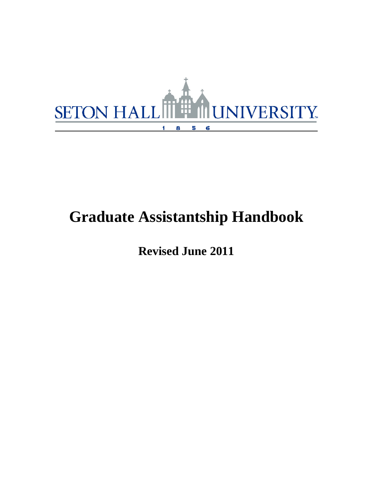

# **Graduate Assistantship Handbook**

**Revised June 2011**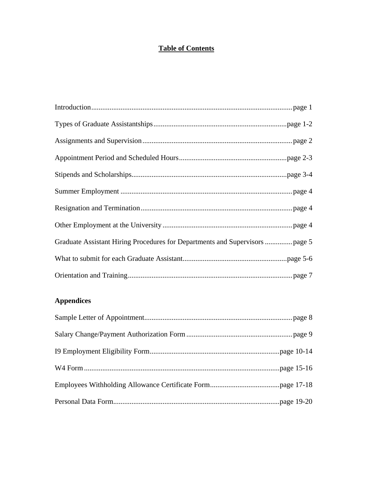# **Table of Contents**

# **Appendices**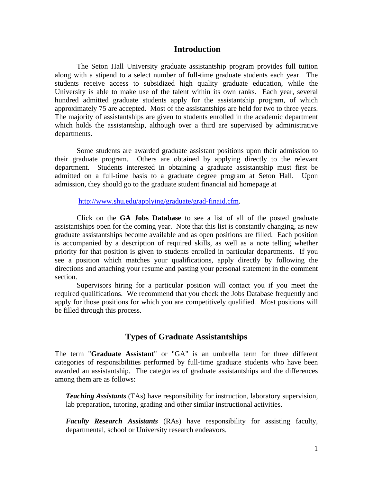#### **Introduction**

The Seton Hall University graduate assistantship program provides full tuition along with a stipend to a select number of full-time graduate students each year. The students receive access to subsidized high quality graduate education, while the University is able to make use of the talent within its own ranks. Each year, several hundred admitted graduate students apply for the assistantship program, of which approximately 75 are accepted. Most of the assistantships are held for two to three years. The majority of assistantships are given to students enrolled in the academic department which holds the assistantship, although over a third are supervised by administrative departments.

Some students are awarded graduate assistant positions upon their admission to their graduate program. Others are obtained by applying directly to the relevant department. Students interested in obtaining a graduate assistantship must first be admitted on a full-time basis to a graduate degree program at Seton Hall. Upon admission, they should go to the graduate student financial aid homepage at

http://www.shu.edu/applying/graduate/grad-finaid.cfm.

Click on the **GA Jobs Database** to see a list of all of the posted graduate assistantships open for the coming year. Note that this list is constantly changing, as new graduate assistantships become available and as open positions are filled. Each position is accompanied by a description of required skills, as well as a note telling whether priority for that position is given to students enrolled in particular departments. If you see a position which matches your qualifications, apply directly by following the directions and attaching your resume and pasting your personal statement in the comment section.

Supervisors hiring for a particular position will contact you if you meet the required qualifications. We recommend that you check the Jobs Database frequently and apply for those positions for which you are competitively qualified. Most positions will be filled through this process.

#### **Types of Graduate Assistantships**

The term "**Graduate Assistant**" or "GA" is an umbrella term for three different categories of responsibilities performed by full-time graduate students who have been awarded an assistantship. The categories of graduate assistantships and the differences among them are as follows:

*Teaching Assistants* (TAs) have responsibility for instruction, laboratory supervision, lab preparation, tutoring, grading and other similar instructional activities.

*Faculty Research Assistants* (RAs) have responsibility for assisting faculty, departmental, school or University research endeavors.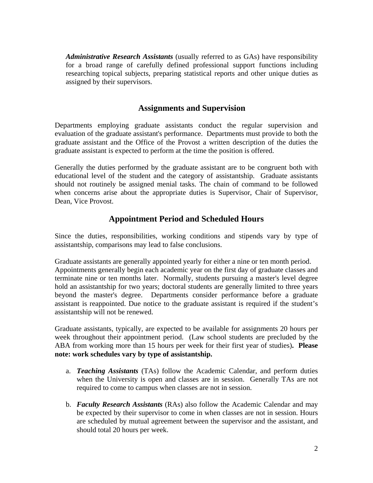*Administrative Research Assistants* (usually referred to as GAs) have responsibility for a broad range of carefully defined professional support functions including researching topical subjects, preparing statistical reports and other unique duties as assigned by their supervisors.

# **Assignments and Supervision**

Departments employing graduate assistants conduct the regular supervision and evaluation of the graduate assistant's performance. Departments must provide to both the graduate assistant and the Office of the Provost a written description of the duties the graduate assistant is expected to perform at the time the position is offered.

Generally the duties performed by the graduate assistant are to be congruent both with educational level of the student and the category of assistantship. Graduate assistants should not routinely be assigned menial tasks. The chain of command to be followed when concerns arise about the appropriate duties is Supervisor, Chair of Supervisor, Dean, Vice Provost.

### **Appointment Period and Scheduled Hours**

Since the duties, responsibilities, working conditions and stipends vary by type of assistantship, comparisons may lead to false conclusions.

Graduate assistants are generally appointed yearly for either a nine or ten month period. Appointments generally begin each academic year on the first day of graduate classes and terminate nine or ten months later. Normally, students pursuing a master's level degree hold an assistantship for two years; doctoral students are generally limited to three years beyond the master's degree. Departments consider performance before a graduate assistant is reappointed. Due notice to the graduate assistant is required if the student's assistantship will not be renewed.

Graduate assistants, typically, are expected to be available for assignments 20 hours per week throughout their appointment period. (Law school students are precluded by the ABA from working more than 15 hours per week for their first year of studies)**. Please note: work schedules vary by type of assistantship.**

- a. *Teaching Assistants* (TAs) follow the Academic Calendar, and perform duties when the University is open and classes are in session. Generally TAs are not required to come to campus when classes are not in session.
- b. *Faculty Research Assistants* (RAs) also follow the Academic Calendar and may be expected by their supervisor to come in when classes are not in session. Hours are scheduled by mutual agreement between the supervisor and the assistant, and should total 20 hours per week.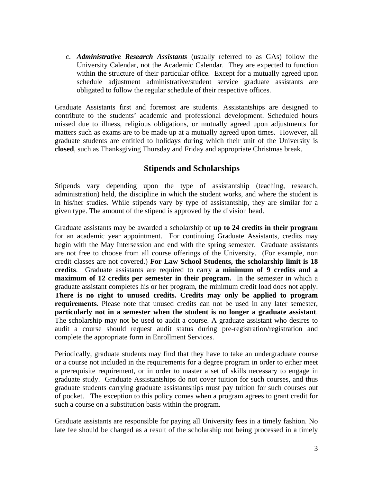c. *Administrative Research Assistants* (usually referred to as GAs) follow the University Calendar, not the Academic Calendar. They are expected to function within the structure of their particular office. Except for a mutually agreed upon schedule adjustment administrative/student service graduate assistants are obligated to follow the regular schedule of their respective offices.

Graduate Assistants first and foremost are students. Assistantships are designed to contribute to the students' academic and professional development. Scheduled hours missed due to illness, religious obligations, or mutually agreed upon adjustments for matters such as exams are to be made up at a mutually agreed upon times. However, all graduate students are entitled to holidays during which their unit of the University is **closed**, such as Thanksgiving Thursday and Friday and appropriate Christmas break.

### **Stipends and Scholarships**

Stipends vary depending upon the type of assistantship (teaching, research, administration) held, the discipline in which the student works, and where the student is in his/her studies. While stipends vary by type of assistantship, they are similar for a given type. The amount of the stipend is approved by the division head.

Graduate assistants may be awarded a scholarship of **up to 24 credits in their program** for an academic year appointment. For continuing Graduate Assistants, credits may begin with the May Intersession and end with the spring semester. Graduate assistants are not free to choose from all course offerings of the University. (For example, non credit classes are not covered.) **For Law School Students, the scholarship limit is 18 credits**. Graduate assistants are required to carry **a minimum of 9 credits and a maximum of 12 credits per semester in their program.** In the semester in which a graduate assistant completes his or her program, the minimum credit load does not apply. **There is no right to unused credits. Credits may only be applied to program requirements**. Please note that unused credits can not be used in any later semester, **particularly not in a semester when the student is no longer a graduate assistant**. The scholarship may not be used to audit a course. A graduate assistant who desires to audit a course should request audit status during pre-registration/registration and complete the appropriate form in Enrollment Services.

Periodically, graduate students may find that they have to take an undergraduate course or a course not included in the requirements for a degree program in order to either meet a prerequisite requirement, or in order to master a set of skills necessary to engage in graduate study. Graduate Assistantships do not cover tuition for such courses, and thus graduate students carrying graduate assistantships must pay tuition for such courses out of pocket. The exception to this policy comes when a program agrees to grant credit for such a course on a substitution basis within the program.

Graduate assistants are responsible for paying all University fees in a timely fashion. No late fee should be charged as a result of the scholarship not being processed in a timely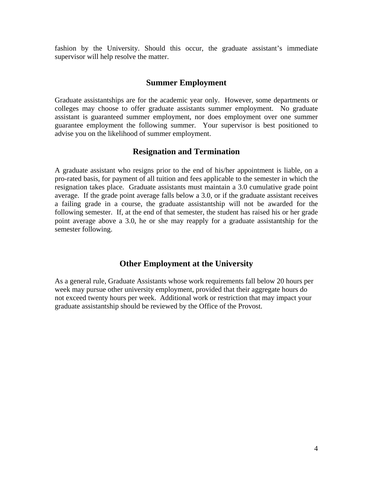fashion by the University. Should this occur, the graduate assistant's immediate supervisor will help resolve the matter.

#### **Summer Employment**

Graduate assistantships are for the academic year only. However, some departments or colleges may choose to offer graduate assistants summer employment. No graduate assistant is guaranteed summer employment, nor does employment over one summer guarantee employment the following summer. Your supervisor is best positioned to advise you on the likelihood of summer employment.

#### **Resignation and Termination**

A graduate assistant who resigns prior to the end of his/her appointment is liable, on a pro-rated basis, for payment of all tuition and fees applicable to the semester in which the resignation takes place. Graduate assistants must maintain a 3.0 cumulative grade point average. If the grade point average falls below a 3.0, or if the graduate assistant receives a failing grade in a course, the graduate assistantship will not be awarded for the following semester. If, at the end of that semester, the student has raised his or her grade point average above a 3.0, he or she may reapply for a graduate assistantship for the semester following.

#### **Other Employment at the University**

As a general rule, Graduate Assistants whose work requirements fall below 20 hours per week may pursue other university employment, provided that their aggregate hours do not exceed twenty hours per week. Additional work or restriction that may impact your graduate assistantship should be reviewed by the Office of the Provost.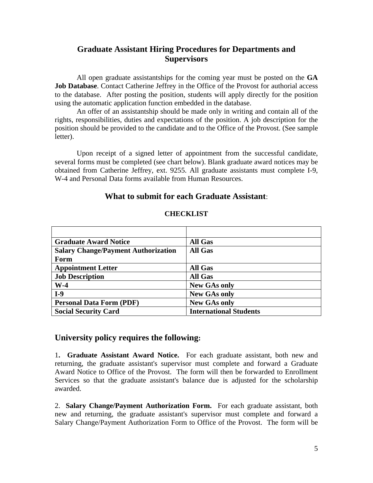# **Graduate Assistant Hiring Procedures for Departments and Supervisors**

All open graduate assistantships for the coming year must be posted on the **GA Job Database**. Contact Catherine Jeffrey in the Office of the Provost for authorial access to the database. After posting the position, students will apply directly for the position using the automatic application function embedded in the database.

An offer of an assistantship should be made only in writing and contain all of the rights, responsibilities, duties and expectations of the position. A job description for the position should be provided to the candidate and to the Office of the Provost. (See sample letter).

Upon receipt of a signed letter of appointment from the successful candidate, several forms must be completed (see chart below). Blank graduate award notices may be obtained from Catherine Jeffrey, ext. 9255. All graduate assistants must complete I-9, W-4 and Personal Data forms available from Human Resources.

#### **What to submit for each Graduate Assistant**:

| <b>Graduate Award Notice</b>               | <b>All Gas</b>                |
|--------------------------------------------|-------------------------------|
| <b>Salary Change/Payment Authorization</b> | <b>All Gas</b>                |
| Form                                       |                               |
| <b>Appointment Letter</b>                  | <b>All Gas</b>                |
| <b>Job Description</b>                     | <b>All Gas</b>                |
| $W-4$                                      | <b>New GAs only</b>           |
| $I-9$                                      | <b>New GAs only</b>           |
| <b>Personal Data Form (PDF)</b>            | <b>New GAs only</b>           |
| <b>Social Security Card</b>                | <b>International Students</b> |

#### **CHECKLIST**

#### **University policy requires the following:**

1**. Graduate Assistant Award Notice.** For each graduate assistant, both new and returning, the graduate assistant's supervisor must complete and forward a Graduate Award Notice to Office of the Provost. The form will then be forwarded to Enrollment Services so that the graduate assistant's balance due is adjusted for the scholarship awarded.

2. **Salary Change/Payment Authorization Form.** For each graduate assistant, both new and returning, the graduate assistant's supervisor must complete and forward a Salary Change/Payment Authorization Form to Office of the Provost. The form will be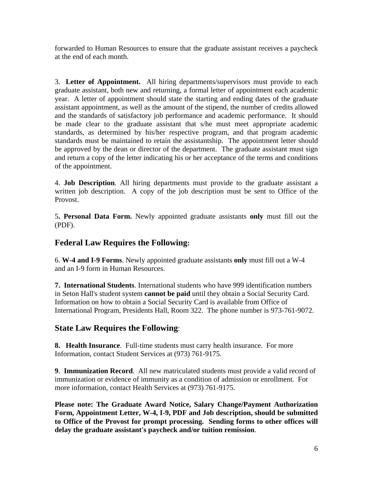forwarded to Human Resources to ensure that the graduate assistant receives a paycheck at the end of each month.

3. **Letter of Appointment.** All hiring departments/supervisors must provide to each graduate assistant, both new and returning, a formal letter of appointment each academic year. A letter of appointment should state the starting and ending dates of the graduate assistant appointment, as well as the amount of the stipend, the number of credits allowed and the standards of satisfactory job performance and academic performance. It should be made clear to the graduate assistant that s/he must meet appropriate academic standards, as determined by his/her respective program, and that program academic standards must be maintained to retain the assistantship. The appointment letter should be approved by the dean or director of the department. The graduate assistant must sign and return a copy of the letter indicating his or her acceptance of the terms and conditions of the appointment.

4. **Job Description**. All hiring departments must provide to the graduate assistant a written job description. A copy of the job description must be sent to Office of the Provost.

5**. Personal Data Form.** Newly appointed graduate assistants **only** must fill out the (PDF).

# **Federal Law Requires the Following:**

6. **W-4 and I-9 Forms**. Newly appointed graduate assistants **only** must fill out a W-4 and an I-9 form in Human Resources.

**7. International Students**. International students who have 999 identification numbers in Seton Hall's student system **cannot be paid** until they obtain a Social Security Card. Information on how to obtain a Social Security Card is available from Office of International Program, Presidents Hall, Room 322. The phone number is 973-761-9072.

# **State Law Requires the Following**:

**8. Health Insurance**. Full-time students must carry health insurance. For more Information, contact Student Services at (973) 761-9175.

**9**. **Immunization Record**.All new matriculated students must provide a valid record of immunization or evidence of immunity as a condition of admission or enrollment. For more information, contact Health Services at (973) 761-9175.

**Please note: The Graduate Award Notice, Salary Change/Payment Authorization Form, Appointment Letter, W-4, I-9, PDF and Job description, should be submitted to Office of the Provost for prompt processing. Sending forms to other offices will delay the graduate assistant's paycheck and/or tuition remission**.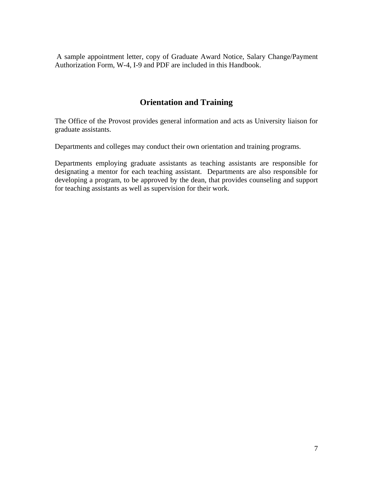A sample appointment letter, copy of Graduate Award Notice, Salary Change/Payment Authorization Form, W-4, I-9 and PDF are included in this Handbook.

# **Orientation and Training**

The Office of the Provost provides general information and acts as University liaison for graduate assistants.

Departments and colleges may conduct their own orientation and training programs.

Departments employing graduate assistants as teaching assistants are responsible for designating a mentor for each teaching assistant. Departments are also responsible for developing a program, to be approved by the dean, that provides counseling and support for teaching assistants as well as supervision for their work.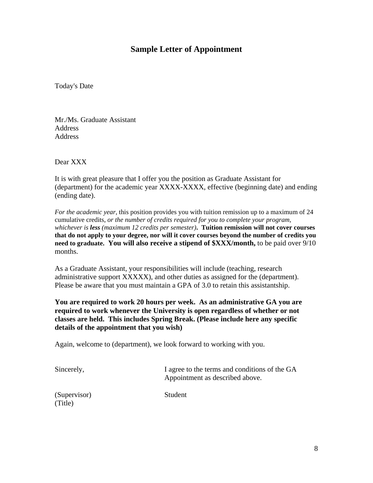### **Sample Letter of Appointment**

Today's Date

Mr./Ms. Graduate Assistant Address **Address** 

Dear XXX

It is with great pleasure that I offer you the position as Graduate Assistant for (department) for the academic year XXXX-XXXX, effective (beginning date) and ending (ending date).

*For the academic year*, this position provides you with tuition remission up to a maximum of 24 cumulative credits, *or the number of credits required for you to complete your program, whichever is less (maximum 12 credits per semester)***. Tuition remission will not cover courses that do not apply to your degree, nor will it cover courses beyond the number of credits you need to graduate. You will also receive a stipend of \$XXX/month,** to be paid over 9/10 months.

As a Graduate Assistant, your responsibilities will include (teaching, research administrative support XXXXX), and other duties as assigned for the (department). Please be aware that you must maintain a GPA of 3.0 to retain this assistantship.

**You are required to work 20 hours per week. As an administrative GA you are required to work whenever the University is open regardless of whether or not classes are held. This includes Spring Break. (Please include here any specific details of the appointment that you wish)** 

Again, welcome to (department), we look forward to working with you.

| Sincerely,              | I agree to the terms and conditions of the GA<br>Appointment as described above. |
|-------------------------|----------------------------------------------------------------------------------|
| (Supervisor)<br>(Title) | Student                                                                          |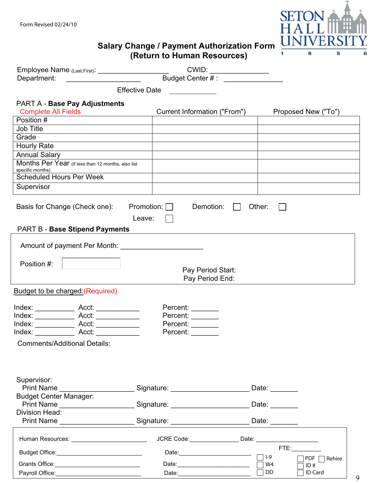

|                                                                                                                                                                                                                                | <b>Salary Change / Payment Authorization Form</b><br>(Return to Human Resources)           | UNIVERS<br>8<br>1.<br>5         |
|--------------------------------------------------------------------------------------------------------------------------------------------------------------------------------------------------------------------------------|--------------------------------------------------------------------------------------------|---------------------------------|
| Employee Name (Last,First): CWID: CWID: CWID: CWID: CWID: CALCULAR CONTENT AT A CONTENT AT A CONTENT AT A CONTENT AT A CONTENT AT A CONTENT AT A CONTENT AT A CONTENT AT A CONTENT AT A CONTENT AT A CONTENT AT A CONTENT AT A |                                                                                            |                                 |
|                                                                                                                                                                                                                                |                                                                                            |                                 |
|                                                                                                                                                                                                                                | <b>Effective Date</b>                                                                      |                                 |
| PART A - Base Pay Adjustments                                                                                                                                                                                                  |                                                                                            |                                 |
| <b>Complete All Fields</b>                                                                                                                                                                                                     | Current Information ("From")                                                               | Proposed New ("To")             |
| Position #                                                                                                                                                                                                                     |                                                                                            |                                 |
| <b>Job Title</b><br><u> 1989 - John Stein, Amerikaansk politiker (</u>                                                                                                                                                         |                                                                                            |                                 |
| Grade                                                                                                                                                                                                                          |                                                                                            |                                 |
| Hourly Rate<br><u> 1980 - Johann Stoff, Amerikaansk politiker (</u>                                                                                                                                                            |                                                                                            |                                 |
| <b>Annual Salary</b>                                                                                                                                                                                                           |                                                                                            |                                 |
| Months Per Year (if less than 12 months, also list<br>specific months)                                                                                                                                                         |                                                                                            |                                 |
| <b>Scheduled Hours Per Week</b>                                                                                                                                                                                                |                                                                                            |                                 |
| Supervisor                                                                                                                                                                                                                     |                                                                                            |                                 |
| Basis for Change (Check one):<br><b>PART B - Base Stipend Payments</b>                                                                                                                                                         | Promotion: $\Box$<br>Demotion:<br>$\mathbf{I}$<br>Leave:                                   | Other:                          |
|                                                                                                                                                                                                                                |                                                                                            |                                 |
| Amount of payment Per Month:                                                                                                                                                                                                   |                                                                                            |                                 |
| Position #:                                                                                                                                                                                                                    |                                                                                            |                                 |
|                                                                                                                                                                                                                                | Pay Period Start:                                                                          |                                 |
|                                                                                                                                                                                                                                | Pay Period End:                                                                            |                                 |
| <b>Budget to be charged: (Required)</b>                                                                                                                                                                                        |                                                                                            |                                 |
|                                                                                                                                                                                                                                | Percent: _______                                                                           |                                 |
|                                                                                                                                                                                                                                | Percent:                                                                                   |                                 |
| Index: _________________ Acct: _______________                                                                                                                                                                                 | Percent:                                                                                   |                                 |
| Index: Acct:                                                                                                                                                                                                                   | Percent: _______                                                                           |                                 |
| <b>Comments/Additional Details:</b>                                                                                                                                                                                            |                                                                                            |                                 |
|                                                                                                                                                                                                                                |                                                                                            |                                 |
|                                                                                                                                                                                                                                |                                                                                            |                                 |
| Supervisor:                                                                                                                                                                                                                    | Print Name _____________________________Signature: _____________________________           | Date: _______                   |
| <b>Budget Center Manager:</b>                                                                                                                                                                                                  |                                                                                            |                                 |
|                                                                                                                                                                                                                                | Print Name ________________________Signature: _____________________________Date: _________ |                                 |
| Division Head:                                                                                                                                                                                                                 |                                                                                            |                                 |
|                                                                                                                                                                                                                                | Print Name ______________________________Signature: ____________________________           | Date: $\_\_$                    |
|                                                                                                                                                                                                                                | JCRE Code:________________                                                                 | Date: _________________________ |
| Budget Office: Management of the Budget Office:                                                                                                                                                                                | Date: 1                                                                                    | FTE: Andrew State               |
|                                                                                                                                                                                                                                |                                                                                            | $ -9$<br>PDF □ Rehire<br>W4     |
|                                                                                                                                                                                                                                |                                                                                            | ID#<br>DD<br>ID Card            |
|                                                                                                                                                                                                                                |                                                                                            |                                 |

9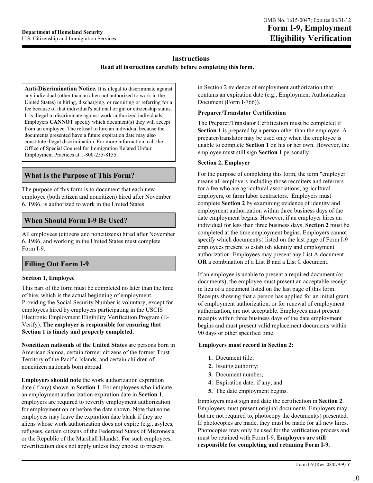#### **Instructions**

**Read all instructions carefully before completing this form.** 

**Anti-Discrimination Notice.** It is illegal to discriminate against any individual (other than an alien not authorized to work in the United States) in hiring, discharging, or recruiting or referring for a fee because of that individual's national origin or citizenship status. It is illegal to discriminate against work-authorized individuals. Employers **CANNOT** specify which document(s) they will accept from an employee. The refusal to hire an individual because the documents presented have a future expiration date may also constitute illegal discrimination. For more information, call the Office of Special Counsel for Immigration Related Unfair Employment Practices at 1-800-255-8155.

#### **What Is the Purpose of This Form?**

The purpose of this form is to document that each new employee (both citizen and noncitizen) hired after November 6, 1986, is authorized to work in the United States.

#### **When Should Form I-9 Be Used?**

All employees (citizens and noncitizens) hired after November 6, 1986, and working in the United States must complete Form I-9.

#### **Section 1, Employee**

This part of the form must be completed no later than the time of hire, which is the actual beginning of employment. Providing the Social Security Number is voluntary, except for employees hired by employers participating in the USCIS Electronic Employment Eligibility Verification Program (E-Verify). **The employer is responsible for ensuring that Section 1 is timely and properly completed.**

**Noncitizen nationals of the United States** are persons born in American Samoa, certain former citizens of the former Trust Territory of the Pacific Islands, and certain children of noncitizen nationals born abroad.

**Employers should note** the work authorization expiration date (if any) shown in **Section 1**. For employees who indicate an employment authorization expiration date in **Section 1**, employers are required to reverify employment authorization for employment on or before the date shown. Note that some employees may leave the expiration date blank if they are aliens whose work authorization does not expire (e.g., asylees, refugees, certain citizens of the Federated States of Micronesia or the Republic of the Marshall Islands). For such employees, reverification does not apply unless they choose to present

in Section 2 evidence of employment authorization that contains an expiration date (e.g., Employment Authorization Document (Form I-766)).

#### **Preparer/Translator Certification**

The Preparer/Translator Certification must be completed if **Section 1** is prepared by a person other than the employee. A preparer/translator may be used only when the employee is unable to complete **Section 1** on his or her own. However, the employee must still sign **Section 1** personally.

#### **Section 2, Employer**

For the purpose of completing this form, the term "employer" means all employers including those recruiters and referrers for a fee who are agricultural associations, agricultural employers, or farm labor contractors. Employers must complete **Section 2** by examining evidence of identity and employment authorization within three business days of the date employment begins. However, if an employer hires an individual for less than three business days, **Section 2** must be completed at the time employment begins. Employers cannot specify which document(s) listed on the last page of Form I-9 employees present to establish identity and employment authorization. Employees may present any List A document **OR** a combination of a List B and a List C document.

> If an employee is unable to present a required document (or documents), the employee must present an acceptable receipt in lieu of a document listed on the last page of this form. Receipts showing that a person has applied for an initial grant of employment authorization, or for renewal of employment authorization, are not acceptable. Employees must present receipts within three business days of the date employment begins and must present valid replacement documents within 90 days or other specified time.

#### **Employers must record in Section 2:**

- **1.** Document title;
- **2.** Issuing authority;
- **3.** Document number;
- **4.** Expiration date, if any; and
- **5.** The date employment begins.

Employers must sign and date the certification in **Section 2**. Employees must present original documents. Employers may, but are not required to, photocopy the document(s) presented. If photocopies are made, they must be made for all new hires. Photocopies may only be used for the verification process and must be retained with Form I-9. **Employers are still responsible for completing and retaining Form I-9.**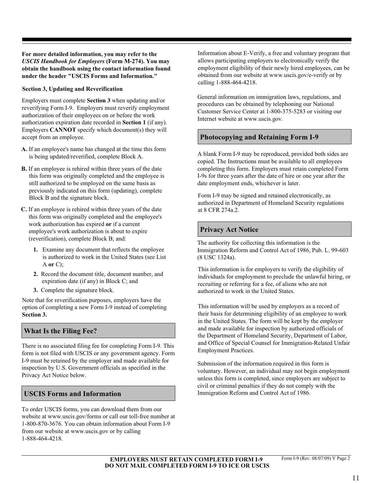**For more detailed information, you may refer to the**  *USCIS Handbook for Employers* **(Form M-274). You may obtain the handbook using the contact information found under the header "USCIS Forms and Information."**

#### **Section 3, Updating and Reverification**

Employers must complete **Section 3** when updating and/or reverifying Form I-9. Employers must reverify employment authorization of their employees on or before the work authorization expiration date recorded in **Section 1** (if any). Employers **CANNOT** specify which document(s) they will accept from an employee.

- **A.** If an employee's name has changed at the time this form is being updated/reverified, complete Block A.
- **B.** If an employee is rehired within three years of the date this form was originally completed and the employee is still authorized to be employed on the same basis as previously indicated on this form (updating), complete Block B and the signature block.
- **C.** If an employee is rehired within three years of the date at 8 CFR 274a.2. this form was originally completed and the employee's work authorization has expired **or** if a current employee's work authorization is about to expire (reverification), complete Block B; and:
	- **1.** Examine any document that reflects the employee is authorized to work in the United States (see List A **or** C);
	- **2.** Record the document title, document number, and expiration date (if any) in Block C; and
	- **3.** Complete the signature block.

Note that for reverification purposes, employers have the option of completing a new Form I-9 instead of completing **Section 3.** 

#### **What Is the Filing Fee?**

There is no associated filing fee for completing Form I-9. This form is not filed with USCIS or any government agency. Form I-9 must be retained by the employer and made available for inspection by U.S. Government officials as specified in the Privacy Act Notice below.

#### **USCIS Forms and Information**

To order USCIS forms, you can download them from our website at www.uscis.gov/forms or call our toll-free number at 1-800-870-3676. You can obtain information about Form I-9 from our website at www.uscis.gov or by calling 1-888-464-4218.

Information about E-Verify, a free and voluntary program that allows participating employers to electronically verify the employment eligibility of their newly hired employees, can be obtained from our website at www.uscis.gov/e-verify or by calling 1-888-464-4218.

General information on immigration laws, regulations, and procedures can be obtained by telephoning our National Customer Service Center at 1-800-375-5283 or visiting our Internet website at www.uscis.gov.

#### **Photocopying and Retaining Form I-9**

A blank Form I-9 may be reproduced, provided both sides are copied. The Instructions must be available to all employees completing this form. Employers must retain completed Form I-9s for three years after the date of hire or one year after the date employment ends, whichever is later.

Form I-9 may be signed and retained electronically, as authorized in Department of Homeland Security regulations

#### **Privacy Act Notice**

The authority for collecting this information is the Immigration Reform and Control Act of 1986, Pub. L. 99-603 (8 USC 1324a).

This information is for employers to verify the eligibility of individuals for employment to preclude the unlawful hiring, or recruiting or referring for a fee, of aliens who are not authorized to work in the United States.

This information will be used by employers as a record of their basis for determining eligibility of an employee to work in the United States. The form will be kept by the employer and made available for inspection by authorized officials of the Department of Homeland Security, Department of Labor, and Office of Special Counsel for Immigration-Related Unfair Employment Practices.

Submission of the information required in this form is voluntary. However, an individual may not begin employment unless this form is completed, since employers are subject to civil or criminal penalties if they do not comply with the Immigration Reform and Control Act of 1986.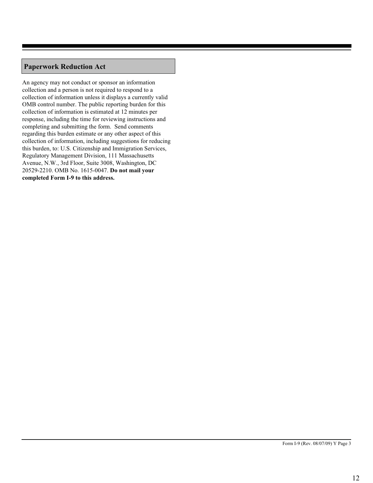### **Paperwork Reduction Act**

An agency may not conduct or sponsor an information collection and a person is not required to respond to a collection of information unless it displays a currently valid OMB control number. The public reporting burden for this collection of information is estimated at 12 minutes per response, including the time for reviewing instructions and completing and submitting the form. Send comments regarding this burden estimate or any other aspect of this collection of information, including suggestions for reducing this burden, to: U.S. Citizenship and Immigration Services, Regulatory Management Division, 111 Massachusetts Avenue, N.W., 3rd Floor, Suite 3008, Washington, DC 20529-2210. OMB No. 1615-0047. **Do not mail your completed Form I-9 to this address.**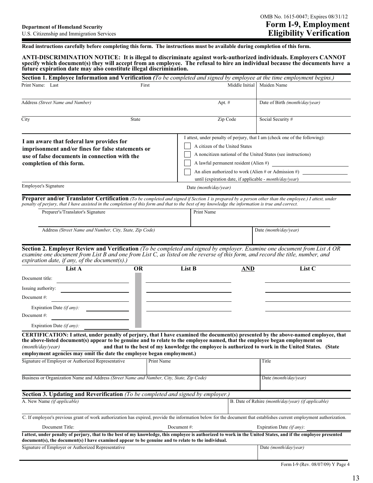**Read instructions carefully before completing this form. The instructions must be available during completion of this form.** 

**ANTI-DISCRIMINATION NOTICE: It is illegal to discriminate against work-authorized individuals. Employers CANNOT specify which document(s) they will accept from an employee. The refusal to hire an individual because the documents have a future expiration date may also constitute illegal discrimination.**

| Section 1. Employee Information and Verification (To be completed and signed by employee at the time employment begins.)                                                                                                                                                                                                                                                                                                                                  |            |                                                                                                      |                                                                                                                                                                                                                                                             |                                   |                                                                             |
|-----------------------------------------------------------------------------------------------------------------------------------------------------------------------------------------------------------------------------------------------------------------------------------------------------------------------------------------------------------------------------------------------------------------------------------------------------------|------------|------------------------------------------------------------------------------------------------------|-------------------------------------------------------------------------------------------------------------------------------------------------------------------------------------------------------------------------------------------------------------|-----------------------------------|-----------------------------------------------------------------------------|
| Print Name: Last                                                                                                                                                                                                                                                                                                                                                                                                                                          | First      |                                                                                                      | Middle Initial                                                                                                                                                                                                                                              | Maiden Name                       |                                                                             |
|                                                                                                                                                                                                                                                                                                                                                                                                                                                           |            |                                                                                                      |                                                                                                                                                                                                                                                             |                                   |                                                                             |
| Address (Street Name and Number)                                                                                                                                                                                                                                                                                                                                                                                                                          |            |                                                                                                      | Apt. #                                                                                                                                                                                                                                                      |                                   | Date of Birth (month/day/year)                                              |
| City                                                                                                                                                                                                                                                                                                                                                                                                                                                      | State      |                                                                                                      | Zip Code                                                                                                                                                                                                                                                    | Social Security #                 |                                                                             |
| I am aware that federal law provides for<br>imprisonment and/or fines for false statements or<br>use of false documents in connection with the<br>completion of this form.                                                                                                                                                                                                                                                                                |            |                                                                                                      | A citizen of the United States<br>A noncitizen national of the United States (see instructions)<br>A lawful permanent resident (Alien #)<br>An alien authorized to work (Alien # or Admission #)<br>until (expiration date, if applicable - month/day/year) |                                   | I attest, under penalty of perjury, that I am (check one of the following): |
| <b>Employee's Signature</b>                                                                                                                                                                                                                                                                                                                                                                                                                               |            | Date (month/day/year)                                                                                |                                                                                                                                                                                                                                                             |                                   |                                                                             |
| Preparer and/or Translator Certification (To be completed and signed if Section 1 is prepared by a person other than the employee.) I attest, under<br>penalty of perjury, that I have assisted in the completion of this form and that to the best of my knowledge the information is true and correct.<br>Preparer's/Translator's Signature                                                                                                             |            | Print Name                                                                                           |                                                                                                                                                                                                                                                             |                                   |                                                                             |
| Address (Street Name and Number, City, State, Zip Code)                                                                                                                                                                                                                                                                                                                                                                                                   |            |                                                                                                      |                                                                                                                                                                                                                                                             | Date (month/day/year)             |                                                                             |
| Section 2. Employer Review and Verification (To be completed and signed by employer. Examine one document from List A OR<br>examine one document from List B and one from List C, as listed on the reverse of this form, and record the title, number, and<br>expiration date, if any, of the document(s).)<br>List A<br>Document title:<br>Issuing authority:<br>Document #:<br>Expiration Date $(if\,any)$ :<br>Document#:<br>Expiration Date (if any): | <b>OR</b>  | List B                                                                                               | <b>AND</b>                                                                                                                                                                                                                                                  |                                   | List C                                                                      |
| CERTIFICATION: I attest, under penalty of perjury, that I have examined the document(s) presented by the above-named employee, that<br>the above-listed document(s) appear to be genuine and to relate to the employee named, that the employee began employment on<br>(month/day/year)<br>employment agencies may omit the date the employee began employment.)<br>Signature of Employer or Authorized Representative                                    | Print Name | and that to the best of my knowledge the employee is authorized to work in the United States. (State |                                                                                                                                                                                                                                                             | Title                             |                                                                             |
| Business or Organization Name and Address (Street Name and Number, City, State, Zip Code)                                                                                                                                                                                                                                                                                                                                                                 |            |                                                                                                      |                                                                                                                                                                                                                                                             |                                   | Date (month/day/year)                                                       |
| <b>Section 3. Updating and Reverification</b> (To be completed and signed by employer.)                                                                                                                                                                                                                                                                                                                                                                   |            |                                                                                                      |                                                                                                                                                                                                                                                             |                                   |                                                                             |
| A. New Name (if applicable)                                                                                                                                                                                                                                                                                                                                                                                                                               |            |                                                                                                      |                                                                                                                                                                                                                                                             |                                   | B. Date of Rehire (month/day/year) (if applicable)                          |
| C. If employee's previous grant of work authorization has expired, provide the information below for the document that establishes current employment authorization.<br>Document Title:                                                                                                                                                                                                                                                                   |            | Document#:                                                                                           |                                                                                                                                                                                                                                                             | Expiration Date <i>(if any)</i> : |                                                                             |
| I attest, under penalty of perjury, that to the best of my knowledge, this employee is authorized to work in the United States, and if the employee presented<br>document(s), the document(s) I have examined appear to be genuine and to relate to the individual.                                                                                                                                                                                       |            |                                                                                                      |                                                                                                                                                                                                                                                             |                                   |                                                                             |
| Signature of Employer or Authorized Representative                                                                                                                                                                                                                                                                                                                                                                                                        |            |                                                                                                      |                                                                                                                                                                                                                                                             |                                   | Date (month/day/year)                                                       |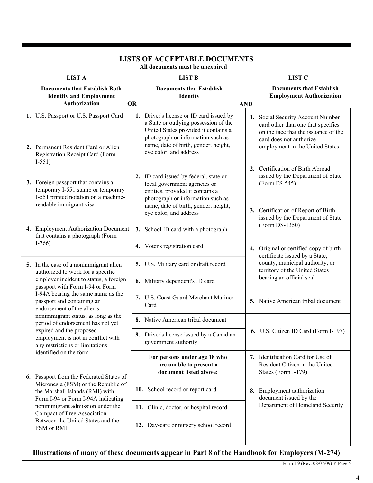|                                                                                                                   |                                                                                              | All documents must be unexpired                                                                                                                                                                        |                                                                                  |                                                                                                                                                                               |  |  |  |
|-------------------------------------------------------------------------------------------------------------------|----------------------------------------------------------------------------------------------|--------------------------------------------------------------------------------------------------------------------------------------------------------------------------------------------------------|----------------------------------------------------------------------------------|-------------------------------------------------------------------------------------------------------------------------------------------------------------------------------|--|--|--|
| <b>LIST A</b>                                                                                                     |                                                                                              | <b>LIST B</b>                                                                                                                                                                                          |                                                                                  | <b>LIST C</b>                                                                                                                                                                 |  |  |  |
| <b>Documents that Establish Both</b><br><b>Identity and Employment</b><br>Authorization                           | <b>OR</b>                                                                                    | <b>Documents that Establish</b><br>Identity                                                                                                                                                            | <b>Documents that Establish</b><br><b>Employment Authorization</b><br><b>AND</b> |                                                                                                                                                                               |  |  |  |
| 1. U.S. Passport or U.S. Passport Card<br>2. Permanent Resident Card or Alien                                     |                                                                                              | 1. Driver's license or ID card issued by<br>a State or outlying possession of the<br>United States provided it contains a<br>photograph or information such as<br>name, date of birth, gender, height, |                                                                                  | 1. Social Security Account Number<br>card other than one that specifies<br>on the face that the issuance of the<br>card does not authorize<br>employment in the United States |  |  |  |
| Registration Receipt Card (Form<br>$I-551)$                                                                       |                                                                                              | eye color, and address                                                                                                                                                                                 |                                                                                  | 2. Certification of Birth Abroad                                                                                                                                              |  |  |  |
| 3. Foreign passport that contains a<br>temporary I-551 stamp or temporary<br>I-551 printed notation on a machine- |                                                                                              | 2. ID card issued by federal, state or<br>local government agencies or<br>entities, provided it contains a<br>photograph or information such as                                                        |                                                                                  | issued by the Department of State<br>(Form FS-545)                                                                                                                            |  |  |  |
| readable immigrant visa                                                                                           |                                                                                              | name, date of birth, gender, height,<br>eye color, and address                                                                                                                                         |                                                                                  | 3. Certification of Report of Birth<br>issued by the Department of State                                                                                                      |  |  |  |
| 4. Employment Authorization Document<br>that contains a photograph (Form                                          |                                                                                              | 3. School ID card with a photograph                                                                                                                                                                    |                                                                                  | (Form DS-1350)                                                                                                                                                                |  |  |  |
| $I-766$                                                                                                           |                                                                                              | 4. Voter's registration card<br>4. Original or certified copy of birth                                                                                                                                 |                                                                                  |                                                                                                                                                                               |  |  |  |
| 5. In the case of a nonimmigrant alien<br>authorized to work for a specific                                       |                                                                                              | 5. U.S. Military card or draft record                                                                                                                                                                  |                                                                                  | certificate issued by a State,<br>county, municipal authority, or<br>territory of the United States<br>bearing an official seal                                               |  |  |  |
| employer incident to status, a foreign<br>passport with Form I-94 or Form                                         |                                                                                              | 6. Military dependent's ID card                                                                                                                                                                        |                                                                                  |                                                                                                                                                                               |  |  |  |
| I-94A bearing the same name as the<br>passport and containing an<br>endorsement of the alien's                    |                                                                                              | 7. U.S. Coast Guard Merchant Mariner<br>Card                                                                                                                                                           |                                                                                  | 5. Native American tribal document                                                                                                                                            |  |  |  |
| nonimmigrant status, as long as the<br>period of endorsement has not yet                                          |                                                                                              | 8. Native American tribal document                                                                                                                                                                     |                                                                                  |                                                                                                                                                                               |  |  |  |
| employment is not in conflict with<br>any restrictions or limitations                                             | expired and the proposed<br>9. Driver's license issued by a Canadian<br>government authority |                                                                                                                                                                                                        |                                                                                  | 6. U.S. Citizen ID Card (Form I-197)                                                                                                                                          |  |  |  |
| identified on the form<br>6. Passport from the Federated States of                                                |                                                                                              | For persons under age 18 who<br>are unable to present a<br>document listed above:                                                                                                                      |                                                                                  | 7. Identification Card for Use of<br>Resident Citizen in the United<br>States (Form I-179)                                                                                    |  |  |  |
| Micronesia (FSM) or the Republic of<br>the Marshall Islands (RMI) with<br>Form I-94 or Form I-94A indicating      |                                                                                              | 10. School record or report card                                                                                                                                                                       |                                                                                  | 8. Employment authorization<br>document issued by the                                                                                                                         |  |  |  |
| nonimmigrant admission under the<br>Compact of Free Association                                                   | 11. Clinic, doctor, or hospital record                                                       |                                                                                                                                                                                                        |                                                                                  | Department of Homeland Security                                                                                                                                               |  |  |  |
| Between the United States and the<br>FSM or RMI                                                                   |                                                                                              | 12. Day-care or nursery school record                                                                                                                                                                  |                                                                                  |                                                                                                                                                                               |  |  |  |

# **LISTS OF ACCEPTABLE DOCUMENTS**

**Illustrations of many of these documents appear in Part 8 of the Handbook for Employers (M-274)**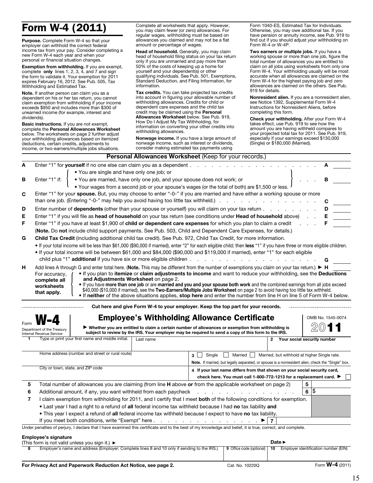# Form W-4 (2011)

Purpose. Complete Form W-4 so that your employer can withhold the correct federal income tax from your pay. Consider completing a new Form W-4 each year and when your personal or financial situation changes.

Exemption from withholding. If you are exempt, complete only lines 1, 2, 3, 4, and 7 and sign the form to validate it. Your exemption for 2011 expires February 16, 2012. See Pub. 505, Tax Withholding and Estimated Tax.

Note. If another person can claim you as a dependent on his or her tax return, you cannot claim exemption from withholding if your income exceeds \$950 and includes more than \$300 of unearned income (for example, interest and dividends).

Basic instructions. If you are not exempt, complete the Personal Allowances Worksheet below. The worksheets on page 2 further adjust your withholding allowances based on itemized deductions, certain credits, adjustments to income, or two-earners/multiple jobs situations.

Complete all worksheets that apply. However, you may claim fewer (or zero) allowances. For regular wages, withholding must be based on allowances you claimed and may not be a flat amount or percentage of wages.

Head of household. Generally, you may claim head of household filing status on your tax return only if you are unmarried and pay more than 50% of the costs of keeping up a home for yourself and your dependent(s) or other qualifying individuals. See Pub. 501, Exemptions, Standard Deduction, and Filing Information, for information.

Tax credits. You can take projected tax credits into account in figuring your allowable number of withholding allowances. Credits for child or dependent care expenses and the child tax credit may be claimed using the Personal Allowances Worksheet below. See Pub. 919,

How Do I Adjust My Tax Withholding, for information on converting your other credits into withholding allowances.

Nonwage income. If you have a large amount of nonwage income, such as interest or dividends, consider making estimated tax payments using

Form 1040-ES, Estimated Tax for Individuals. Otherwise, you may owe additional tax. If you have pension or annuity income, see Pub. 919 to find out if you should adjust your withholding on Form W-4 or W-4P.

Two earners or multiple jobs. If you have a working spouse or more than one job, figure the total number of allowances you are entitled to claim on all jobs using worksheets from only one Form W-4. Your withholding usually will be most accurate when all allowances are claimed on the Form W-4 for the highest paying job and zero allowances are claimed on the others. See Pub. 919 for details.

Nonresident alien. If you are a nonresident alien, see Notice 1392, Supplemental Form W-4 Instructions for Nonresident Aliens, before completing this form.

Check your withholding. After your Form W-4 takes effect, use Pub. 919 to see how the amount you are having withheld compares to your projected total tax for 2011. See Pub. 919, especially if your earnings exceed \$130,000 (Single) or \$180,000 (Married).

|                                                                                                                                                            |                                                                                                                                                                        | Personal Allowances Worksheet (Keep for your records.)                                                                          |                                              |                   |  |  |  |  |  |  |  |  |
|------------------------------------------------------------------------------------------------------------------------------------------------------------|------------------------------------------------------------------------------------------------------------------------------------------------------------------------|---------------------------------------------------------------------------------------------------------------------------------|----------------------------------------------|-------------------|--|--|--|--|--|--|--|--|
| A<br>Enter "1" for yourself if no one else can claim you as a dependent                                                                                    |                                                                                                                                                                        |                                                                                                                                 |                                              |                   |  |  |  |  |  |  |  |  |
| . You are single and have only one job; or                                                                                                                 |                                                                                                                                                                        |                                                                                                                                 |                                              |                   |  |  |  |  |  |  |  |  |
| . You are married, have only one job, and your spouse does not work; or<br>в<br>Enter "1" if:                                                              |                                                                                                                                                                        |                                                                                                                                 |                                              |                   |  |  |  |  |  |  |  |  |
|                                                                                                                                                            |                                                                                                                                                                        | • Your wages from a second job or your spouse's wages (or the total of both) are \$1,500 or less.                               |                                              |                   |  |  |  |  |  |  |  |  |
| Enter "1" for your spouse. But, you may choose to enter "-0-" if you are married and have either a working spouse or more<br>C                             |                                                                                                                                                                        |                                                                                                                                 |                                              |                   |  |  |  |  |  |  |  |  |
| than one job. (Entering "-0-" may help you avoid having too little tax withheld.)                                                                          |                                                                                                                                                                        |                                                                                                                                 |                                              |                   |  |  |  |  |  |  |  |  |
| D<br>Enter number of <b>dependents</b> (other than your spouse or yourself) you will claim on your tax return                                              | D                                                                                                                                                                      |                                                                                                                                 |                                              |                   |  |  |  |  |  |  |  |  |
| Е<br>Enter "1" if you will file as head of household on your tax return (see conditions under Head of household above)                                     | Е                                                                                                                                                                      |                                                                                                                                 |                                              |                   |  |  |  |  |  |  |  |  |
| Enter "1" if you have at least \$1,900 of child or dependent care expenses for which you plan to claim a credit                                            |                                                                                                                                                                        |                                                                                                                                 |                                              |                   |  |  |  |  |  |  |  |  |
| (Note. Do not include child support payments. See Pub. 503, Child and Dependent Care Expenses, for details.)                                               |                                                                                                                                                                        |                                                                                                                                 |                                              |                   |  |  |  |  |  |  |  |  |
| G                                                                                                                                                          | Child Tax Credit (including additional child tax credit). See Pub. 972, Child Tax Credit, for more information.                                                        |                                                                                                                                 |                                              |                   |  |  |  |  |  |  |  |  |
|                                                                                                                                                            | . If your total income will be less than \$61,000 (\$90,000 if married), enter "2" for each eligible child; then less "1" if you have three or more eligible children. |                                                                                                                                 |                                              |                   |  |  |  |  |  |  |  |  |
| • If your total income will be between \$61,000 and \$84,000 (\$90,000 and \$119,000 if married), enter "1" for each eligible                              |                                                                                                                                                                        |                                                                                                                                 |                                              |                   |  |  |  |  |  |  |  |  |
| child plus "1" <b>additional</b> if you have six or more eligible children.                                                                                |                                                                                                                                                                        | and the company of the company of the                                                                                           |                                              |                   |  |  |  |  |  |  |  |  |
| Add lines A through G and enter total here. (Note. This may be different from the number of exemptions you claim on your tax return.) ► H<br>н             |                                                                                                                                                                        |                                                                                                                                 |                                              |                   |  |  |  |  |  |  |  |  |
| For accuracy,                                                                                                                                              |                                                                                                                                                                        | . If you plan to itemize or claim adjustments to income and want to reduce your withholding, see the Deductions                 |                                              |                   |  |  |  |  |  |  |  |  |
| and Adjustments Worksheet on page 2.<br>complete all                                                                                                       |                                                                                                                                                                        | . If you have more than one job or are married and you and your spouse both work and the combined earnings from all jobs exceed |                                              |                   |  |  |  |  |  |  |  |  |
| worksheets                                                                                                                                                 |                                                                                                                                                                        | \$40,000 (\$10,000 if married), see the Two-Earners/Multiple Jobs Worksheet on page 2 to avoid having too little tax withheld.  |                                              |                   |  |  |  |  |  |  |  |  |
| that apply.                                                                                                                                                |                                                                                                                                                                        | . If neither of the above situations applies, stop here and enter the number from line H on line 5 of Form W-4 below.           |                                              |                   |  |  |  |  |  |  |  |  |
|                                                                                                                                                            |                                                                                                                                                                        | Cut here and give Form W-4 to your employer. Keep the top part for your records.                                                |                                              |                   |  |  |  |  |  |  |  |  |
|                                                                                                                                                            |                                                                                                                                                                        |                                                                                                                                 |                                              |                   |  |  |  |  |  |  |  |  |
|                                                                                                                                                            |                                                                                                                                                                        | <b>Employee's Withholding Allowance Certificate</b>                                                                             |                                              | OMB No. 1545-0074 |  |  |  |  |  |  |  |  |
| Department of the Treasury                                                                                                                                 |                                                                                                                                                                        | ▶ Whether you are entitled to claim a certain number of allowances or exemption from withholding is                             |                                              |                   |  |  |  |  |  |  |  |  |
| Internal Revenue Service<br>Type or print your first name and middle initial.                                                                              | Last name                                                                                                                                                              | subject to review by the IRS. Your employer may be required to send a copy of this form to the IRS.                             | 2 Your social security number                |                   |  |  |  |  |  |  |  |  |
|                                                                                                                                                            |                                                                                                                                                                        |                                                                                                                                 |                                              |                   |  |  |  |  |  |  |  |  |
| Home address (number and street or rural route)                                                                                                            |                                                                                                                                                                        |                                                                                                                                 |                                              |                   |  |  |  |  |  |  |  |  |
|                                                                                                                                                            |                                                                                                                                                                        | Single<br><b>Married</b><br>3 <sup>1</sup>                                                                                      | Married, but withhold at higher Single rate. |                   |  |  |  |  |  |  |  |  |
| City or town, state, and ZIP code                                                                                                                          |                                                                                                                                                                        | Note. If married, but legally separated, or spouse is a nonresident alien, check the "Single" box.                              |                                              |                   |  |  |  |  |  |  |  |  |
|                                                                                                                                                            |                                                                                                                                                                        | 4 If your last name differs from that shown on your social security card,                                                       |                                              |                   |  |  |  |  |  |  |  |  |
|                                                                                                                                                            |                                                                                                                                                                        | check here. You must call 1-800-772-1213 for a replacement card. ▶                                                              |                                              |                   |  |  |  |  |  |  |  |  |
| Total number of allowances you are claiming (from line <b>H</b> above or from the applicable worksheet on page 2)<br>5                                     |                                                                                                                                                                        |                                                                                                                                 | 5<br>\$                                      |                   |  |  |  |  |  |  |  |  |
| Additional amount, if any, you want withheld from each paycheck<br>6                                                                                       |                                                                                                                                                                        |                                                                                                                                 | 6                                            |                   |  |  |  |  |  |  |  |  |
| $\overline{\mathbf{r}}$<br>I claim exemption from withholding for 2011, and I certify that I meet both of the following conditions for exemption.          |                                                                                                                                                                        |                                                                                                                                 |                                              |                   |  |  |  |  |  |  |  |  |
| . Last year I had a right to a refund of all federal income tax withheld because I had no tax liability and                                                |                                                                                                                                                                        |                                                                                                                                 |                                              |                   |  |  |  |  |  |  |  |  |
| . This year I expect a refund of all federal income tax withheld because I expect to have no tax liability.                                                |                                                                                                                                                                        |                                                                                                                                 |                                              |                   |  |  |  |  |  |  |  |  |
|                                                                                                                                                            |                                                                                                                                                                        |                                                                                                                                 |                                              |                   |  |  |  |  |  |  |  |  |
| Under penalties of perjury, I declare that I have examined this certificate and to the best of my knowledge and belief, it is true, correct, and complete. |                                                                                                                                                                        |                                                                                                                                 |                                              |                   |  |  |  |  |  |  |  |  |
| <b>Employee's signature</b><br>(This form is not valid unless you sign it.) $\blacktriangleright$                                                          |                                                                                                                                                                        |                                                                                                                                 |                                              |                   |  |  |  |  |  |  |  |  |
|                                                                                                                                                            |                                                                                                                                                                        |                                                                                                                                 | Date $\blacktriangleright$                   |                   |  |  |  |  |  |  |  |  |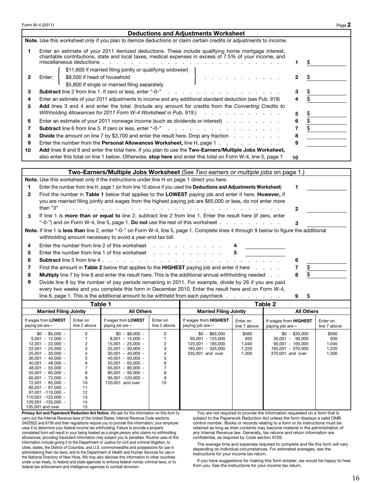|                | Form W-4 (2011)                                                                                                                                        |                          |                                                                                           |                          |                                                                                                                                                                                                                 |                          |                                          |                           | Page 2                   |
|----------------|--------------------------------------------------------------------------------------------------------------------------------------------------------|--------------------------|-------------------------------------------------------------------------------------------|--------------------------|-----------------------------------------------------------------------------------------------------------------------------------------------------------------------------------------------------------------|--------------------------|------------------------------------------|---------------------------|--------------------------|
|                |                                                                                                                                                        |                          |                                                                                           |                          | <b>Deductions and Adjustments Worksheet</b>                                                                                                                                                                     |                          |                                          |                           |                          |
|                |                                                                                                                                                        |                          |                                                                                           |                          | Note. Use this worksheet only if you plan to itemize deductions or claim certain credits or adjustments to income.                                                                                              |                          |                                          |                           |                          |
| 1              |                                                                                                                                                        |                          | <b>Contract</b>                                                                           |                          | Enter an estimate of your 2011 itemized deductions. These include qualifying home mortgage interest,<br>charitable contributions, state and local taxes, medical expenses in excess of 7.5% of your income, and |                          |                                          |                           |                          |
|                | miscellaneous deductions.                                                                                                                              |                          | \$<br>1                                                                                   |                          |                                                                                                                                                                                                                 |                          |                                          |                           |                          |
| 2              | \$11,600 if married filing jointly or qualifying widow(er)<br>\$8,500 if head of household<br>Enter:<br>\$5,800 if single or married filing separately |                          | 2                                                                                         |                          |                                                                                                                                                                                                                 |                          |                                          |                           |                          |
| З              |                                                                                                                                                        |                          | Subtract line 2 from line 1. If zero or less, enter "-0-"                                 |                          | and a state of the state of                                                                                                                                                                                     |                          |                                          | \$<br>3                   |                          |
| 4              |                                                                                                                                                        |                          |                                                                                           |                          | Enter an estimate of your 2011 adjustments to income and any additional standard deduction (see Pub. 919)                                                                                                       |                          |                                          | \$<br>4                   |                          |
| 5              |                                                                                                                                                        |                          |                                                                                           |                          | Add lines 3 and 4 and enter the total. (Include any amount for credits from the Converting Credits to                                                                                                           |                          |                                          |                           |                          |
|                |                                                                                                                                                        |                          | Withholding Allowances for 2011 Form W-4 Worksheet in Pub. 919.)                          |                          |                                                                                                                                                                                                                 | .                        |                                          | \$<br>5                   |                          |
| 6              |                                                                                                                                                        |                          |                                                                                           |                          | Enter an estimate of your 2011 nonwage income (such as dividends or interest)                                                                                                                                   |                          |                                          | $\bar{\mathfrak{s}}$<br>6 |                          |
| 7              |                                                                                                                                                        |                          | <b>Subtract</b> line 6 from line 5. If zero or less, enter "-0-"                          |                          | والمناول والمناول والمناول والمناول والمناولين                                                                                                                                                                  |                          |                                          | \$<br>$\overline{7}$      |                          |
| 8              |                                                                                                                                                        |                          |                                                                                           |                          | <b>Divide</b> the amount on line 7 by \$3,700 and enter the result here. Drop any fraction                                                                                                                      |                          |                                          | 8                         |                          |
| 9              |                                                                                                                                                        |                          |                                                                                           |                          | Enter the number from the <b>Personal Allowances Worksheet</b> , line H, page 1                                                                                                                                 |                          |                                          | 9                         |                          |
| 10             |                                                                                                                                                        |                          |                                                                                           |                          | Add lines 8 and 9 and enter the total here. If you plan to use the Two-Earners/Multiple Jobs Worksheet,                                                                                                         |                          |                                          |                           |                          |
|                |                                                                                                                                                        |                          |                                                                                           |                          | also enter this total on line 1 below. Otherwise, stop here and enter this total on Form W-4, line 5, page 1                                                                                                    |                          |                                          | 10                        |                          |
|                |                                                                                                                                                        |                          |                                                                                           |                          |                                                                                                                                                                                                                 |                          |                                          |                           |                          |
|                |                                                                                                                                                        |                          | Note. Use this worksheet only if the instructions under line H on page 1 direct you here. |                          | Two-Earners/Multiple Jobs Worksheet (See Two earners or multiple jobs on page 1.)                                                                                                                               |                          |                                          |                           |                          |
| 1              |                                                                                                                                                        |                          |                                                                                           |                          | Enter the number from line H, page 1 (or from line 10 above if you used the <b>Deductions and Adjustments Worksheet</b> )                                                                                       |                          |                                          | 1                         |                          |
| $\mathbf{2}$   |                                                                                                                                                        |                          |                                                                                           |                          | Find the number in Table 1 below that applies to the LOWEST paying job and enter it here. However, if                                                                                                           |                          |                                          |                           |                          |
|                |                                                                                                                                                        |                          |                                                                                           |                          | you are married filing jointly and wages from the highest paying job are \$65,000 or less, do not enter more                                                                                                    |                          |                                          |                           |                          |
|                | than "3"                                                                                                                                               |                          |                                                                                           |                          | and the state of                                                                                                                                                                                                |                          |                                          | $\mathbf{2}$              |                          |
| 3              |                                                                                                                                                        |                          |                                                                                           |                          | If line 1 is more than or equal to line 2, subtract line 2 from line 1. Enter the result here (if zero, enter                                                                                                   |                          |                                          |                           |                          |
|                |                                                                                                                                                        |                          |                                                                                           |                          | "-0-") and on Form W-4, line 5, page 1. Do not use the rest of this worksheet $\ldots$ , $\ldots$ , $\ldots$                                                                                                    |                          |                                          | 3                         |                          |
|                |                                                                                                                                                        |                          |                                                                                           |                          | Note. If line 1 is less than line 2, enter "-0-" on Form W-4, line 5, page 1. Complete lines 4 through 9 below to figure the additional                                                                         |                          |                                          |                           |                          |
|                |                                                                                                                                                        |                          | withholding amount necessary to avoid a year-end tax bill.                                |                          |                                                                                                                                                                                                                 |                          |                                          |                           |                          |
| 4              |                                                                                                                                                        |                          | Enter the number from line 2 of this worksheet                                            |                          |                                                                                                                                                                                                                 |                          |                                          |                           |                          |
| 5              |                                                                                                                                                        |                          | Enter the number from line 1 of this worksheet                                            |                          |                                                                                                                                                                                                                 | 5                        |                                          |                           |                          |
| 6              | <b>Subtract line 5 from line 4.</b>                                                                                                                    |                          | and a state                                                                               |                          |                                                                                                                                                                                                                 |                          |                                          | 6                         |                          |
| $\overline{7}$ |                                                                                                                                                        |                          |                                                                                           |                          | Find the amount in Table 2 below that applies to the HIGHEST paying job and enter it here $\ldots$                                                                                                              |                          |                                          | \$<br>7                   |                          |
| 8              |                                                                                                                                                        |                          |                                                                                           |                          | Multiply line 7 by line 6 and enter the result here. This is the additional annual withholding needed                                                                                                           |                          |                                          | \$<br>8                   |                          |
| 9              |                                                                                                                                                        |                          |                                                                                           |                          | Divide line 8 by the number of pay periods remaining in 2011. For example, divide by 26 if you are paid                                                                                                         |                          |                                          |                           |                          |
|                |                                                                                                                                                        |                          |                                                                                           |                          | every two weeks and you complete this form in December 2010. Enter the result here and on Form W-4,<br>line 6, page 1. This is the additional amount to be withheld from each paycheck                          |                          |                                          |                           |                          |
|                |                                                                                                                                                        |                          | Table 1                                                                                   |                          |                                                                                                                                                                                                                 |                          |                                          | \$<br>9                   |                          |
|                | <b>Married Filing Jointly</b>                                                                                                                          |                          | <b>All Others</b>                                                                         |                          | <b>Married Filing Jointly</b>                                                                                                                                                                                   |                          | Table 2                                  | <b>All Others</b>         |                          |
|                |                                                                                                                                                        |                          |                                                                                           |                          |                                                                                                                                                                                                                 |                          |                                          |                           |                          |
|                | If wages from LOWEST<br>paying job are-                                                                                                                | Enter on<br>line 2 above | If wages from LOWEST<br>paying job are-                                                   | Enter on<br>line 2 above | If wages from <b>HIGHEST</b><br>paying job are-                                                                                                                                                                 | Enter on<br>line 7 above | If wages from HIGHEST<br>paying job are- |                           | Enter on<br>line 7 above |

| If wages from LOWEST<br>paying job are- | Enter on<br>line 2 above | If wages from LOWEST<br>paying job are- | Enter on<br>line 2 above | If wages from <b>HIGHEST</b><br>paying job are- | Enter on<br>line 7 above | If wages from <b>HIGHEST</b><br>paying job are- | Enter on<br>line 7 above |
|-----------------------------------------|--------------------------|-----------------------------------------|--------------------------|-------------------------------------------------|--------------------------|-------------------------------------------------|--------------------------|
| $$0 - $5.000 -$                         | 0                        | $$0 - $8,000 -$                         | 0                        | $$0 - $65.000$                                  | \$560                    | $$0 - $35.000$                                  | \$560                    |
| $5,001 - 12,000 -$                      |                          | $8.001 - 15.000 -$                      |                          | 65.001 - 125.000                                | 930                      | 35.001 - 90.000                                 | 930                      |
| $12,001 - 22,000 -$                     | 2                        | $15,001 - 25,000 -$                     | 2                        | 125.001 - 185.000                               | 1,040                    | $90.001 - 165.000$                              | 1,040                    |
| $22.001 - 25.000 -$                     | 3                        | $25.001 - 30.000 -$                     | 3                        | 185.001 - 335.000                               | 1,220                    | 165.001 - 370.000                               | 1,220                    |
| $25.001 - 30.000 -$                     | 4                        | $30.001 - 40.000 -$                     | 4                        | 335,001 and over                                | 1,300                    | 370,001 and over                                | 1,300                    |
| $30.001 - 40.000 -$                     | 5                        | $40.001 - 50.000 -$                     | 5                        |                                                 |                          |                                                 |                          |
| $40.001 - 48.000 -$                     | 6                        | $50.001 - 65.000 -$                     | 6                        |                                                 |                          |                                                 |                          |
| 48.001 - 55.000 -                       |                          | $65.001 - 80.000 -$                     |                          |                                                 |                          |                                                 |                          |
| $55.001 - 65.000 -$                     | 8                        | $80.001 - 95.000 -$                     | 8                        |                                                 |                          |                                                 |                          |
| $65.001 - 72.000 -$                     | 9                        | $95.001 - 120.000 -$                    | 9                        |                                                 |                          |                                                 |                          |
| 72.001 - 85.000 -                       | 10                       | 120,001 and over                        | 10                       |                                                 |                          |                                                 |                          |
| 85,001 - 97,000 -                       | 11                       |                                         |                          |                                                 |                          |                                                 |                          |
| $97.001 - 110.000 -$                    | 12                       |                                         |                          |                                                 |                          |                                                 |                          |
| 110.001 -120.000 -                      | 13                       |                                         |                          |                                                 |                          |                                                 |                          |
| 120.001 -135.000 -                      | 14                       |                                         |                          |                                                 |                          |                                                 |                          |
| 135,001 and over                        | 15                       |                                         |                          |                                                 |                          |                                                 |                          |

Privacy Act and Paperwork<sup>1</sup> Reduction Act Notice. We ask for the information on this form to carry out the Internal Revenue laws of the United States. Internal Revenue Code sections 3402(f)(2) and 6109 and their regulations require you to provide this information; your employer uses it to determine your federal income tax withholding. Failure to provide a properly completed form will result in your being treated as a single person who claims no withholding allowances; providing fraudulent information may subject you to penalties. Routine uses of this information include giving it to the Department of Justice for civil and criminal litigation, to cities, states, the District of Columbia, and U.S. commonwealths and possessions for use in administering their tax laws; and to the Department of Health and Human Services for use in the National Directory of New Hires. We may also disclose this information to other countries under a tax treaty, to federal and state agencies to enforce federal nontax criminal laws, or to federal law enforcement and intelligence agencies to combat terrorism.

You are not required to provide the information requested on a form that is subject to the Paperwork Reduction Act unless the form displays a valid OMB control number. Books or records relating to a form or its instructions must be retained as long as their contents may become material in the administration of any Internal Revenue law. Generally, tax returns and return information are confidential, as required by Code section 6103.

The average time and expenses required to complete and file this form will vary depending on individual circumstances. For estimated averages, see the instructions for your income tax return.

If you have suggestions for making this form simpler, we would be happy to hear from you. See the instructions for your income tax return.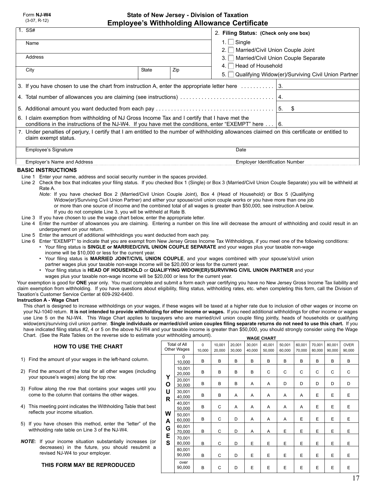#### **State of New Jersey - Division of Taxation Employee's Withholding Allowance Certificate**

| Employee's withholding Allowance Certificate                                                                                                                                                                                                                                                                                                                                                                                                                                                                                                                                                                                                                                                                                                                                                                                                                                                                                                                                                                                                                                                                                                                                                                                                                                                                                                   |                                                                                                                                                                                                                                                                                                                                                                                                                                                                                                                                                                                                                                                                                                                                                                                                                                                                                                                                                                                                                                                                                                                                                                                                                                                                                                                                                                                                                                                                                                                                                                                                                                                                                                                                          |    |                                           |                       |                                                                         |                  |                  |                  |                                       |                                                    |                  |                  |                       |
|------------------------------------------------------------------------------------------------------------------------------------------------------------------------------------------------------------------------------------------------------------------------------------------------------------------------------------------------------------------------------------------------------------------------------------------------------------------------------------------------------------------------------------------------------------------------------------------------------------------------------------------------------------------------------------------------------------------------------------------------------------------------------------------------------------------------------------------------------------------------------------------------------------------------------------------------------------------------------------------------------------------------------------------------------------------------------------------------------------------------------------------------------------------------------------------------------------------------------------------------------------------------------------------------------------------------------------------------|------------------------------------------------------------------------------------------------------------------------------------------------------------------------------------------------------------------------------------------------------------------------------------------------------------------------------------------------------------------------------------------------------------------------------------------------------------------------------------------------------------------------------------------------------------------------------------------------------------------------------------------------------------------------------------------------------------------------------------------------------------------------------------------------------------------------------------------------------------------------------------------------------------------------------------------------------------------------------------------------------------------------------------------------------------------------------------------------------------------------------------------------------------------------------------------------------------------------------------------------------------------------------------------------------------------------------------------------------------------------------------------------------------------------------------------------------------------------------------------------------------------------------------------------------------------------------------------------------------------------------------------------------------------------------------------------------------------------------------------|----|-------------------------------------------|-----------------------|-------------------------------------------------------------------------|------------------|------------------|------------------|---------------------------------------|----------------------------------------------------|------------------|------------------|-----------------------|
| $1.$ SS#                                                                                                                                                                                                                                                                                                                                                                                                                                                                                                                                                                                                                                                                                                                                                                                                                                                                                                                                                                                                                                                                                                                                                                                                                                                                                                                                       | 2. Filing Status: (Check only one box)                                                                                                                                                                                                                                                                                                                                                                                                                                                                                                                                                                                                                                                                                                                                                                                                                                                                                                                                                                                                                                                                                                                                                                                                                                                                                                                                                                                                                                                                                                                                                                                                                                                                                                   |    |                                           |                       |                                                                         |                  |                  |                  |                                       |                                                    |                  |                  |                       |
| Name                                                                                                                                                                                                                                                                                                                                                                                                                                                                                                                                                                                                                                                                                                                                                                                                                                                                                                                                                                                                                                                                                                                                                                                                                                                                                                                                           | 1. $\Box$ Single                                                                                                                                                                                                                                                                                                                                                                                                                                                                                                                                                                                                                                                                                                                                                                                                                                                                                                                                                                                                                                                                                                                                                                                                                                                                                                                                                                                                                                                                                                                                                                                                                                                                                                                         |    |                                           |                       |                                                                         |                  |                  |                  |                                       |                                                    |                  |                  |                       |
| Address                                                                                                                                                                                                                                                                                                                                                                                                                                                                                                                                                                                                                                                                                                                                                                                                                                                                                                                                                                                                                                                                                                                                                                                                                                                                                                                                        | $2. \Box$<br>3. I I                                                                                                                                                                                                                                                                                                                                                                                                                                                                                                                                                                                                                                                                                                                                                                                                                                                                                                                                                                                                                                                                                                                                                                                                                                                                                                                                                                                                                                                                                                                                                                                                                                                                                                                      |    |                                           |                       | Married/Civil Union Couple Joint<br>Married/Civil Union Couple Separate |                  |                  |                  |                                       |                                                    |                  |                  |                       |
|                                                                                                                                                                                                                                                                                                                                                                                                                                                                                                                                                                                                                                                                                                                                                                                                                                                                                                                                                                                                                                                                                                                                                                                                                                                                                                                                                | 4. l                                                                                                                                                                                                                                                                                                                                                                                                                                                                                                                                                                                                                                                                                                                                                                                                                                                                                                                                                                                                                                                                                                                                                                                                                                                                                                                                                                                                                                                                                                                                                                                                                                                                                                                                     |    | $\Box$ Head of Household                  |                       |                                                                         |                  |                  |                  |                                       |                                                    |                  |                  |                       |
| City                                                                                                                                                                                                                                                                                                                                                                                                                                                                                                                                                                                                                                                                                                                                                                                                                                                                                                                                                                                                                                                                                                                                                                                                                                                                                                                                           |                                                                                                                                                                                                                                                                                                                                                                                                                                                                                                                                                                                                                                                                                                                                                                                                                                                                                                                                                                                                                                                                                                                                                                                                                                                                                                                                                                                                                                                                                                                                                                                                                                                                                                                                          | 5. |                                           |                       |                                                                         |                  |                  |                  |                                       | Qualifying Widow(er)/Surviving Civil Union Partner |                  |                  |                       |
| 3. If you have chosen to use the chart from instruction A, enter the appropriate letter here $\ldots \ldots \ldots$   3.                                                                                                                                                                                                                                                                                                                                                                                                                                                                                                                                                                                                                                                                                                                                                                                                                                                                                                                                                                                                                                                                                                                                                                                                                       |                                                                                                                                                                                                                                                                                                                                                                                                                                                                                                                                                                                                                                                                                                                                                                                                                                                                                                                                                                                                                                                                                                                                                                                                                                                                                                                                                                                                                                                                                                                                                                                                                                                                                                                                          |    |                                           |                       |                                                                         |                  |                  |                  |                                       |                                                    |                  |                  |                       |
|                                                                                                                                                                                                                                                                                                                                                                                                                                                                                                                                                                                                                                                                                                                                                                                                                                                                                                                                                                                                                                                                                                                                                                                                                                                                                                                                                |                                                                                                                                                                                                                                                                                                                                                                                                                                                                                                                                                                                                                                                                                                                                                                                                                                                                                                                                                                                                                                                                                                                                                                                                                                                                                                                                                                                                                                                                                                                                                                                                                                                                                                                                          |    |                                           |                       |                                                                         |                  |                  |                  |                                       |                                                    |                  |                  |                       |
|                                                                                                                                                                                                                                                                                                                                                                                                                                                                                                                                                                                                                                                                                                                                                                                                                                                                                                                                                                                                                                                                                                                                                                                                                                                                                                                                                |                                                                                                                                                                                                                                                                                                                                                                                                                                                                                                                                                                                                                                                                                                                                                                                                                                                                                                                                                                                                                                                                                                                                                                                                                                                                                                                                                                                                                                                                                                                                                                                                                                                                                                                                          |    |                                           |                       |                                                                         |                  |                  |                  | \$                                    |                                                    |                  |                  |                       |
| 6. I claim exemption from withholding of NJ Gross Income Tax and I certify that I have met the<br>conditions in the instructions of the NJ-W4. If you have met the conditions, enter "EXEMPT" here $\dots$ 6.                                                                                                                                                                                                                                                                                                                                                                                                                                                                                                                                                                                                                                                                                                                                                                                                                                                                                                                                                                                                                                                                                                                                  |                                                                                                                                                                                                                                                                                                                                                                                                                                                                                                                                                                                                                                                                                                                                                                                                                                                                                                                                                                                                                                                                                                                                                                                                                                                                                                                                                                                                                                                                                                                                                                                                                                                                                                                                          |    |                                           |                       |                                                                         |                  |                  |                  |                                       |                                                    |                  |                  |                       |
| 7. Under penalties of perjury, I certify that I am entitled to the number of withholding allowances claimed on this certificate or entitled to<br>claim exempt status.                                                                                                                                                                                                                                                                                                                                                                                                                                                                                                                                                                                                                                                                                                                                                                                                                                                                                                                                                                                                                                                                                                                                                                         |                                                                                                                                                                                                                                                                                                                                                                                                                                                                                                                                                                                                                                                                                                                                                                                                                                                                                                                                                                                                                                                                                                                                                                                                                                                                                                                                                                                                                                                                                                                                                                                                                                                                                                                                          |    |                                           |                       |                                                                         |                  |                  |                  |                                       |                                                    |                  |                  |                       |
| Employee's Signature                                                                                                                                                                                                                                                                                                                                                                                                                                                                                                                                                                                                                                                                                                                                                                                                                                                                                                                                                                                                                                                                                                                                                                                                                                                                                                                           |                                                                                                                                                                                                                                                                                                                                                                                                                                                                                                                                                                                                                                                                                                                                                                                                                                                                                                                                                                                                                                                                                                                                                                                                                                                                                                                                                                                                                                                                                                                                                                                                                                                                                                                                          |    |                                           |                       |                                                                         | Date             |                  |                  |                                       |                                                    |                  |                  |                       |
| Employer's Name and Address                                                                                                                                                                                                                                                                                                                                                                                                                                                                                                                                                                                                                                                                                                                                                                                                                                                                                                                                                                                                                                                                                                                                                                                                                                                                                                                    |                                                                                                                                                                                                                                                                                                                                                                                                                                                                                                                                                                                                                                                                                                                                                                                                                                                                                                                                                                                                                                                                                                                                                                                                                                                                                                                                                                                                                                                                                                                                                                                                                                                                                                                                          |    |                                           |                       |                                                                         |                  |                  |                  | <b>Employer Identification Number</b> |                                                    |                  |                  |                       |
| Rate A.<br>underpayment on your return.<br>wages plus your taxable non-wage income will be \$20,000 or less for the current year.                                                                                                                                                                                                                                                                                                                                                                                                                                                                                                                                                                                                                                                                                                                                                                                                                                                                                                                                                                                                                                                                                                                                                                                                              | <b>BASIC INSTRUCTIONS</b><br>Line 1 Enter your name, address and social security number in the spaces provided.<br>Line 2 Check the box that indicates your filing status. If you checked Box 1 (Single) or Box 3 (Married/Civil Union Couple Separate) you will be withheld at<br>Note: If you have checked Box 2 (Married/Civil Union Couple Joint), Box 4 (Head of Household) or Box 5 (Qualifying<br>Widow(er)/Surviving Civil Union Partner) and either your spouse/civil union couple works or you have more than one job<br>or more than one source of income and the combined total of all wages is greater than \$50,000, see instruction A below.<br>If you do not complete Line 3, you will be withheld at Rate B.<br>Line 3 If you have chosen to use the wage chart below, enter the appropriate letter.<br>Line 4 Enter the number of allowances you are claiming. Entering a number on this line will decrease the amount of withholding and could result in an<br>Line 5 Enter the amount of additional withholdings you want deducted from each pay.<br>Line 6 Enter "EXEMPT" to indicate that you are exempt from New Jersey Gross Income Tax Withholdings, if you meet one of the following conditions:<br>• Your filing status is SINGLE or MARRIED/CIVIL UNION COUPLE SEPARATE and your wages plus your taxable non-wage<br>income will be \$10,000 or less for the current year.<br>. Your filing status is MARRIED JOINT/CIVIL UNION COUPLE, and your wages combined with your spouse's/civil union<br>partner wages plus your taxable non-wage income will be \$20,000 or less for the current year.<br>• Your filing status is HEAD OF HOUSEHOLD or QUALIFYING WIDOW(ER)/SURVIVING CIVIL UNION PARTNER and your |    |                                           |                       |                                                                         |                  |                  |                  |                                       |                                                    |                  |                  |                       |
| Your exemption is good for ONE year only. You must complete and submit a form each year certifying you have no New Jersey Gross Income Tax liability and<br>claim exemption from withholding. If you have questions about eligibility, filing status, withholding rates, etc. when completing this form, call the Division of<br>Taxation's Customer Service Center at 609-292-6400.<br><b>Instruction A - Wage Chart</b><br>This chart is designed to increase withholdings on your wages, if these wages will be taxed at a higher rate due to inclusion of other wages or income on<br>your NJ-1040 return. It is not intended to provide withholding for other income or wages. If you need additional withholdings for other income or wages<br>use Line 5 on the NJ-W4. This Wage Chart applies to taxpayers who are married/civil union couple filing jointly, heads of households or qualifying<br>widow(ers)/surviving civil union partner. Single individuals or married/civil union couples filing separate returns do not need to use this chart. If you<br>have indicated filing status #2, 4 or 5 on the above NJ-W4 and your taxable income is greater than \$50,000, you should strongly consider using the Wage<br>Chart. (See the Rate Tables on the reverse side to estimate your withholding amount).<br><b>WAGE CHART</b> |                                                                                                                                                                                                                                                                                                                                                                                                                                                                                                                                                                                                                                                                                                                                                                                                                                                                                                                                                                                                                                                                                                                                                                                                                                                                                                                                                                                                                                                                                                                                                                                                                                                                                                                                          |    |                                           |                       |                                                                         |                  |                  |                  |                                       |                                                    |                  |                  |                       |
| <b>HOW TO USE THE CHART</b>                                                                                                                                                                                                                                                                                                                                                                                                                                                                                                                                                                                                                                                                                                                                                                                                                                                                                                                                                                                                                                                                                                                                                                                                                                                                                                                    |                                                                                                                                                                                                                                                                                                                                                                                                                                                                                                                                                                                                                                                                                                                                                                                                                                                                                                                                                                                                                                                                                                                                                                                                                                                                                                                                                                                                                                                                                                                                                                                                                                                                                                                                          |    | <b>Total of All</b><br><b>Other Wages</b> | $\mathbf 0$<br>10,000 | 10,001<br>20,000                                                        | 20,001<br>30,000 | 30,001<br>40,000 | 40,001<br>50,000 | 50,001<br>60,000                      | 60,001<br>70,000                                   | 70,001<br>80,000 | 80,001<br>90,000 | <b>OVER</b><br>90,000 |
| 1) Find the amount of your wages in the left-hand column.                                                                                                                                                                                                                                                                                                                                                                                                                                                                                                                                                                                                                                                                                                                                                                                                                                                                                                                                                                                                                                                                                                                                                                                                                                                                                      |                                                                                                                                                                                                                                                                                                                                                                                                                                                                                                                                                                                                                                                                                                                                                                                                                                                                                                                                                                                                                                                                                                                                                                                                                                                                                                                                                                                                                                                                                                                                                                                                                                                                                                                                          |    | 0<br>10,000                               | в                     | в                                                                       | В                | в                | В                | В                                     | В                                                  | В                | В                | В                     |
| 2) Find the amount of the total for all other wages (including<br>your spouse's wages) along the top row.                                                                                                                                                                                                                                                                                                                                                                                                                                                                                                                                                                                                                                                                                                                                                                                                                                                                                                                                                                                                                                                                                                                                                                                                                                      |                                                                                                                                                                                                                                                                                                                                                                                                                                                                                                                                                                                                                                                                                                                                                                                                                                                                                                                                                                                                                                                                                                                                                                                                                                                                                                                                                                                                                                                                                                                                                                                                                                                                                                                                          | Υ  | 10,001<br>20,000<br>20,001                | В                     | В                                                                       | В                | В                | С                | С                                     | С                                                  | С                | С                | С                     |

**O U R**

30,000 30,001 40,000 40,001 50,000 50,001 60,000 60,001 70,000 70,001 80,000 80,001 90,000 over 90,000 B | B | B | A | A | D | D | D | D | D B | B | A | A | A | A | A | E | E | E B | C | A | A | A | A | A | E | E | E B | C | D | A | A | A | E | E | E | E B | C | D | A | A | E | E | E | E | E B | C | D | E | E | E | E | E | E | E B | C | D | E | E | E | E | E | E | E B | C | D | E | E | E | E | E | E | E

**W A G E S**

- 3) Follow along the row that contains your wages until you come to the column that contains the other wages.
- 4) This meeting point indicates the Withholding Table that best reflects your income situation.
- 5) If you have chosen this method, enter the "letter" of the withholding rate table on Line 3 of the NJ-W4.
- *NOTE***:** If your income situation substantially increases (or decreases) in the future, you should resubmit a revised NJ-W4 to your employer.

#### **THIS FORM MAY BE REPRODUCED**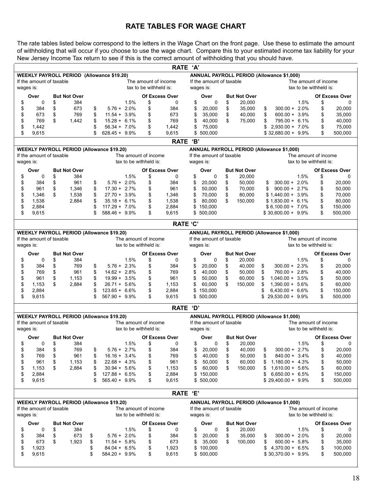### **RATE TABLES FOR WAGE CHART**

The rate tables listed below correspond to the letters in the Wage Chart on the front page. Use these to estimate the amount of withholding that will occur if you choose to use the wage chart. Compare this to your estimated income tax liability for your New Jersey Income Tax return to see if this is the correct amount of withholding that you should have.

|                                                  |                          |          |                            |          |                                                  |                        |                            | RATE 'A'                 |                          |          |                               |          |                                                  |                      |                        |                       |
|--------------------------------------------------|--------------------------|----------|----------------------------|----------|--------------------------------------------------|------------------------|----------------------------|--------------------------|--------------------------|----------|-------------------------------|----------|--------------------------------------------------|----------------------|------------------------|-----------------------|
|                                                  |                          |          |                            |          | <b>WEEKLY PAYROLL PERIOD (Allowance \$19.20)</b> |                        |                            |                          |                          |          |                               |          | <b>ANNUAL PAYROLL PERIOD (Allowance \$1,000)</b> |                      |                        |                       |
| If the amount of taxable<br>The amount of income |                          |          |                            |          |                                                  |                        |                            | If the amount of taxable |                          |          |                               |          |                                                  | The amount of income |                        |                       |
| wages is:                                        |                          |          |                            |          |                                                  | tax to be withheld is: |                            |                          | wages is:                |          |                               |          |                                                  |                      | tax to be withheld is: |                       |
|                                                  | Over                     |          | <b>But Not Over</b>        |          |                                                  |                        | <b>Of Excess Over</b>      |                          | Over                     |          | <b>But Not Over</b>           |          |                                                  |                      |                        | Of Excess Over        |
| \$                                               | 0                        | \$       | 384                        |          | 1.5%                                             | \$                     | 0                          | \$                       | 0                        | \$       | 20.000                        |          |                                                  | 1.5%                 | \$                     | 0                     |
| \$                                               | 384                      | \$       | 673                        | \$       | $5.76 + 2.0\%$                                   | \$                     | 384                        | \$                       | 20,000                   | \$       | 35,000                        | \$       | $300.00 + 2.0\%$                                 |                      | \$                     | 20,000                |
| \$                                               | 673                      | \$       | 769                        | \$       | $11.54 + 3.9\%$                                  | \$                     | 673                        | \$                       | 35,000                   | \$       | 40,000                        | \$       | $600.00 + 3.9\%$                                 |                      | \$                     | 35,000                |
| \$                                               | 769                      | \$       | 1,442                      | \$       | $15.28 + 6.1%$                                   | \$                     | 769                        | \$                       | 40,000                   | \$       | 75,000                        | \$       | 795.00 + 6.1%                                    |                      | \$                     | 40,000                |
| \$                                               | 1,442                    |          |                            | \$       | $56.34 + 7.0\%$                                  | \$                     | 1,442                      | \$                       | 75,000                   |          |                               | \$       | $2,930.00 + 7.0\%$                               |                      | \$                     | 75,000                |
| \$                                               | 9,615                    |          |                            | \$       | $628.45 + 9.9\%$                                 | \$                     | 9,615                      | \$                       | 500,000                  |          |                               |          | $$32.680.00 + 9.9\%$                             |                      | \$                     | 500,000               |
|                                                  |                          |          |                            |          |                                                  |                        |                            | RATE 'B'                 |                          |          |                               |          |                                                  |                      |                        |                       |
|                                                  |                          |          |                            |          |                                                  |                        |                            |                          |                          |          |                               |          |                                                  |                      |                        |                       |
|                                                  |                          |          |                            |          | <b>WEEKLY PAYROLL PERIOD (Allowance \$19.20)</b> |                        |                            |                          |                          |          |                               |          | ANNUAL PAYROLL PERIOD (Allowance \$1,000)        |                      |                        |                       |
|                                                  | If the amount of taxable |          |                            |          | The amount of income                             |                        |                            |                          | If the amount of taxable |          |                               |          |                                                  |                      | The amount of income   |                       |
|                                                  | wages is:                |          |                            |          | tax to be withheld is:                           |                        |                            |                          | wages is:                |          |                               |          |                                                  |                      | tax to be withheld is: |                       |
|                                                  | Over                     |          | <b>But Not Over</b>        |          |                                                  |                        | <b>Of Excess Over</b>      |                          | Over                     |          | <b>But Not Over</b>           |          |                                                  |                      |                        | <b>Of Excess Over</b> |
| \$                                               | $\mathbf 0$              | \$       | 384                        |          | 1.5%                                             | \$                     | 0                          | \$                       | $\Omega$                 | \$       | 20,000                        |          |                                                  | 1.5%                 | \$                     | 0                     |
| \$                                               | 384                      | \$       | 961                        | \$       | $5.76 + 2.0\%$                                   | \$                     | 384                        | \$                       | 20,000                   | \$       | 50,000                        |          | $300.00 + 2.0\%$<br>\$                           |                      | \$                     | 20,000                |
| \$                                               | 961                      | \$       | 1,346                      | \$       | $17.30 + 2.7\%$                                  | \$                     | 961                        | \$                       | 50,000                   | \$       | 70,000                        |          | $900.00 + 2.7\%$<br>\$                           |                      | \$                     | 50,000                |
| \$                                               | 1,346                    | \$       | 1,538                      | \$       | $27.70 + 3.9\%$                                  | \$                     | 1,346                      | \$                       | 70,000                   | \$       | 80,000                        |          | $$1,440.00 + 3.9\%$                              |                      | \$                     | 70,000                |
| \$                                               | 1,538                    |          | 2,884                      | \$       | $35.18 + 6.1\%$                                  | \$                     | 1,538                      | \$                       | 80,000                   | \$       | 150,000                       |          | $$1,830.00 + 6.1\%$                              |                      | \$                     | 80,000                |
| \$                                               | 2,884                    |          |                            | \$       | $117.29 + 7.0\%$                                 | \$                     | 2,884                      | \$                       | 150,000                  |          |                               |          | $$6,100.00 + 7.0\%$                              |                      | \$                     | 150,000               |
| \$                                               | 9,615                    |          |                            | \$       | 588.46 + 9.9%                                    | \$                     | 9,615                      | \$                       | 500,000                  |          |                               |          | $$30,600.00 + 9.9\%$                             |                      | \$                     | 500,000               |
|                                                  |                          |          |                            |          |                                                  |                        |                            | <b>RATE 'C'</b>          |                          |          |                               |          |                                                  |                      |                        |                       |
|                                                  |                          |          |                            |          | <b>WEEKLY PAYROLL PERIOD (Allowance \$19.20)</b> |                        |                            |                          |                          |          |                               |          | ANNUAL PAYROLL PERIOD (Allowance \$1,000)        |                      |                        |                       |
|                                                  | If the amount of taxable |          |                            |          | The amount of income                             |                        |                            |                          | If the amount of taxable |          |                               |          |                                                  |                      | The amount of income   |                       |
| wages is:                                        |                          |          |                            |          | tax to be withheld is:                           |                        |                            |                          | wages is:                |          |                               |          |                                                  |                      | tax to be withheld is: |                       |
|                                                  | Over                     |          | <b>But Not Over</b>        |          |                                                  |                        | <b>Of Excess Over</b>      |                          | Over                     |          | <b>But Not Over</b>           |          |                                                  |                      |                        | <b>Of Excess Over</b> |
| \$                                               | 0                        | \$       | 384                        |          | 1.5%                                             | \$                     | 0                          | \$                       | 0                        | \$       | 20,000                        |          |                                                  | 1.5%                 | \$                     | 0                     |
| \$                                               | 384                      | \$       | 769                        | \$       | $5.76 + 2.3%$                                    | \$                     | 384                        | \$                       | 20,000                   | \$       | 40,000                        | \$       | $300.00 + 2.3\%$                                 |                      | \$                     | 20,000                |
| \$                                               | 769                      | \$       | 961                        | \$       | $14.62 + 2.8\%$                                  | \$                     | 769                        | \$                       | 40,000                   | \$       | 50,000                        | \$       | 760.00 + 2.8%                                    |                      | \$                     | 40,000                |
| \$                                               | 961                      | \$       | 1,153                      | \$       | $19.99 + 3.5\%$                                  | \$                     | 961                        | \$                       | 50,000                   | \$       | 60,000                        | \$       | $1,040.00 + 3.5\%$                               |                      | \$                     | 50,000                |
| \$                                               | 1,153                    | \$       | 2,884                      | \$       | $26.71 + 5.6\%$                                  | \$                     | 1,153                      | \$                       | 60,000                   | \$       | 150,000                       | \$       | $1,390.00 + 5.6\%$                               |                      | \$                     | 60,000                |
| \$                                               | 2,884                    |          |                            | \$       | $123.65 + 6.6\%$                                 | \$                     | 2,884                      | \$                       | 150,000                  |          |                               |          | $6,430.00 + 6.6\%$                               |                      | \$                     | 150,000               |
| \$                                               | 9,615                    |          |                            | \$       | 567.90 + 9.9%                                    | \$                     | 9,615                      | \$                       | 500,000                  |          |                               | \$       | 29,530.00 + 9.9%                                 |                      | \$                     | 500,000               |
|                                                  |                          |          |                            |          |                                                  |                        | <b>RATE</b>                | 'D'                      |                          |          |                               |          |                                                  |                      |                        |                       |
|                                                  |                          |          |                            |          | <b>WEEKLY PAYROLL PERIOD (Allowance \$19.20)</b> |                        |                            |                          |                          |          |                               |          | <b>ANNUAL PAYROLL PERIOD (Allowance \$1,000)</b> |                      |                        |                       |
|                                                  | If the amount of taxable |          |                            |          | The amount of income                             |                        |                            |                          | If the amount of taxable |          |                               |          |                                                  |                      | The amount of income   |                       |
| wages is:                                        |                          |          |                            |          | tax to be withheld is:                           |                        |                            |                          | wages is:                |          |                               |          |                                                  |                      | tax to be withheld is: |                       |
|                                                  | Over                     |          | <b>But Not Over</b>        |          |                                                  |                        | <b>Of Excess Over</b>      |                          | Over                     |          | <b>But Not Over</b>           |          |                                                  |                      |                        | Of Excess Over        |
| \$                                               | 0                        | \$       | 384                        |          | 1.5%                                             | \$                     | 0                          | \$                       | 0                        | \$       | 20,000                        |          |                                                  | 1.5%                 | \$                     | 0                     |
| \$                                               | 384                      | \$       | 769                        | \$       | $5.76 + 2.7\%$                                   | \$                     | 384                        | \$                       | 20,000                   | \$       | 40,000                        | \$       | $300.00 + 2.7\%$                                 |                      | \$                     | 20,000                |
| \$                                               | 769                      | \$       | 961                        | \$       | $16.16 + 3.4\%$                                  | \$                     | 769                        | \$                       | 40,000                   | \$       | 50,000                        | \$       | 840.00 + 3.4%                                    |                      | \$                     | 40,000                |
| \$                                               | 961                      | \$       | 1,153                      | \$       | $22.68 + 4.3\%$                                  | \$                     | 961                        | \$                       | 50,000                   | \$       | 60,000                        |          | $1,180.00 + 4.3\%$                               |                      | \$                     | 50,000                |
| \$                                               | 1,153                    | \$       | 2,884                      | \$       | $30.94 + 5.6\%$                                  | \$                     | 1,153                      | \$                       | 60,000                   | \$       | 150,000                       |          | $1,610.00 + 5.6\%$                               |                      | \$                     | 60,000                |
| \$                                               | 2,884                    |          |                            | \$       | $127.88 + 6.5%$                                  | \$                     | 2,884                      | \$                       | 150,000                  |          |                               |          | $6,650.00 + 6.5\%$                               |                      | \$                     | 150,000               |
| \$                                               | 9,615                    |          |                            | \$       | $565.40 + 9.9\%$                                 | \$                     | 9,615                      | \$                       | 500,000                  |          |                               |          | $$29,400.00 + 9.9\%$                             |                      | \$                     | 500,000               |
|                                                  |                          |          |                            |          |                                                  |                        |                            |                          |                          |          |                               |          |                                                  |                      |                        |                       |
|                                                  |                          |          |                            |          |                                                  |                        |                            | RATE 'E'                 |                          |          |                               |          |                                                  |                      |                        |                       |
|                                                  |                          |          |                            |          | <b>WEEKLY PAYROLL PERIOD (Allowance \$19.20)</b> |                        |                            |                          |                          |          |                               |          | <b>ANNUAL PAYROLL PERIOD (Allowance \$1,000)</b> |                      |                        |                       |
|                                                  | If the amount of taxable |          |                            |          | The amount of income<br>tax to be withheld is:   |                        |                            |                          | If the amount of taxable |          |                               |          |                                                  |                      | The amount of income   |                       |
| wages is:                                        |                          |          |                            |          |                                                  |                        |                            |                          | wages is:                |          |                               |          |                                                  |                      | tax to be withheld is: |                       |
|                                                  | Over<br>0                |          | <b>But Not Over</b><br>384 |          | 1.5%                                             |                        | <b>Of Excess Over</b><br>0 |                          | Over<br>0                |          | <b>But Not Over</b><br>20,000 |          |                                                  | 1.5%                 |                        | Of Excess Over        |
| \$                                               |                          | \$       | 673                        |          |                                                  | \$                     |                            | \$                       |                          | \$       |                               |          |                                                  |                      | \$                     | 0                     |
| \$                                               | 384<br>673               | \$<br>\$ | 1,923                      | \$       | $5.76 + 2.0\%$<br>$11.54 + 5.8\%$                | \$                     | 384<br>673                 | \$                       | 20,000<br>35,000         | \$<br>\$ | 35,000<br>100,000             | \$       | $300.00 + 2.0\%$<br>$600.00 + 5.8\%$             |                      | \$                     | 20,000                |
| \$<br>\$                                         | 1,923                    |          |                            | \$<br>\$ | $84.04 + 6.5%$                                   | \$<br>\$               | 1,923                      | \$<br>\$                 | 100,000                  |          |                               | \$<br>\$ | $4,370.00 + 6.5\%$                               |                      | \$<br>\$               | 35,000<br>100,000     |
| \$                                               | 9,615                    |          |                            | \$       | 584.20 + 9.9%                                    | \$                     | 9,615                      |                          | \$500,000                |          |                               |          | $$30,370.00 + 9.9\%$                             |                      | \$                     | 500,000               |
|                                                  |                          |          |                            |          |                                                  |                        |                            |                          |                          |          |                               |          |                                                  |                      |                        |                       |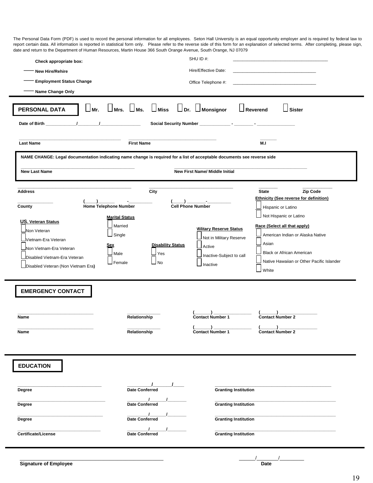report certain data. All information is reported in statistical form only. Please refer to the reverse side of this form for an explanation of selected terms. After completing, please sign,<br>data and return to the Depertmen The Personal Data Form (PDF) is used to record the personal information for all employees. Seton Hall University is an equal opportunity employer and is required by federal law to date and return to the Department of Human Resources, Martin House 366 South Orange Avenue, South Orange, NJ 07079

| Check appropriate box:<br><b>New Hire/Rehire</b><br><b>Employment Status Change</b><br>Name Change Only<br>$\Box$ Mr.<br>PERSONAL DATA                                                                                                                            | $\Box$ Mrs. $\Box$ Ms. $\Box$ Miss $\Box$ Dr. $\Box$ Monsignor                                                                                         | SHU ID#:<br>Hire/Effective Date:<br>Office Telephone #:                                                                                                                                                                                              | $\Box$ Reverend<br>$\lrcorner$ Sister                                                                                                                                                                                                                                                                                                                                                  |
|-------------------------------------------------------------------------------------------------------------------------------------------------------------------------------------------------------------------------------------------------------------------|--------------------------------------------------------------------------------------------------------------------------------------------------------|------------------------------------------------------------------------------------------------------------------------------------------------------------------------------------------------------------------------------------------------------|----------------------------------------------------------------------------------------------------------------------------------------------------------------------------------------------------------------------------------------------------------------------------------------------------------------------------------------------------------------------------------------|
| <b>Last Name</b>                                                                                                                                                                                                                                                  | <b>First Name</b>                                                                                                                                      |                                                                                                                                                                                                                                                      | M.I                                                                                                                                                                                                                                                                                                                                                                                    |
| NAME CHANGE: Legal documentation indicating name change is required for a list of acceptable documents see reverse side<br><b>New First Name/ Middle Initial</b><br><b>New Last Name</b>                                                                          |                                                                                                                                                        |                                                                                                                                                                                                                                                      |                                                                                                                                                                                                                                                                                                                                                                                        |
| <b>Address</b><br>Home Telephone Number<br>County<br><b>US. Veteran Status</b><br>Non Veteran<br>Vietnam-Era Veteran<br>Non Vietnam-Era Veteran<br>Disabled Vietnam-Era Veteran<br>Disabled Veteran (Non Vietnam Era)<br><b>EMERGENCY CONTACT</b><br>Name<br>Name | City<br><b>Marital Status</b><br>Married<br>Single<br><b>Disability Status</b><br>Sex<br>Male<br>Yes<br>Female<br>⊿ No<br>Relationship<br>Relationship | <b>Cell Phone Number</b><br><b>Vilitary Reserve Status</b><br>Not in Military Reserve<br>$\mathsf{\mathsf{\bot}}$ Active<br>Inactive-Subject to call<br>Inactive<br><b>Contact Number 1</b><br>$\mathbf{v}$<br>$\epsilon$<br><b>Contact Number 1</b> | <b>State</b><br>Zip Code<br><b>Ethnicity (See reverse for definition)</b><br>Hispanic or Latino<br>Not Hispanic or Latino<br>Race (Select all that apply)<br>American Indian or Alaska Native<br>Asian<br><b>Black or African American</b><br>Native Hawaiian or Other Pacific Islander<br>White<br><b>Contact Number 2</b><br>$\mathbf{r}$<br>$\mathbf{v}$<br><b>Contact Number 2</b> |
| <b>EDUCATION</b><br>Degree<br>Degree<br>Degree<br>Certificate/License                                                                                                                                                                                             | <b>Date Conferred</b><br>Date Conferred<br>Date Conferred<br><b>Date Conferred</b>                                                                     | <b>Granting Institution</b><br><b>Granting Institution</b><br><b>Granting Institution</b><br><b>Granting Institution</b>                                                                                                                             |                                                                                                                                                                                                                                                                                                                                                                                        |

\_\_\_\_\_\_\_\_\_\_\_\_\_\_\_\_\_\_\_\_\_\_\_\_\_\_\_\_\_\_\_\_\_\_\_\_\_\_\_\_\_\_\_\_\_\_\_\_\_\_\_\_\_ \_\_\_\_\_\_/\_\_\_\_\_\_\_\_/\_\_\_\_\_\_\_\_\_

19